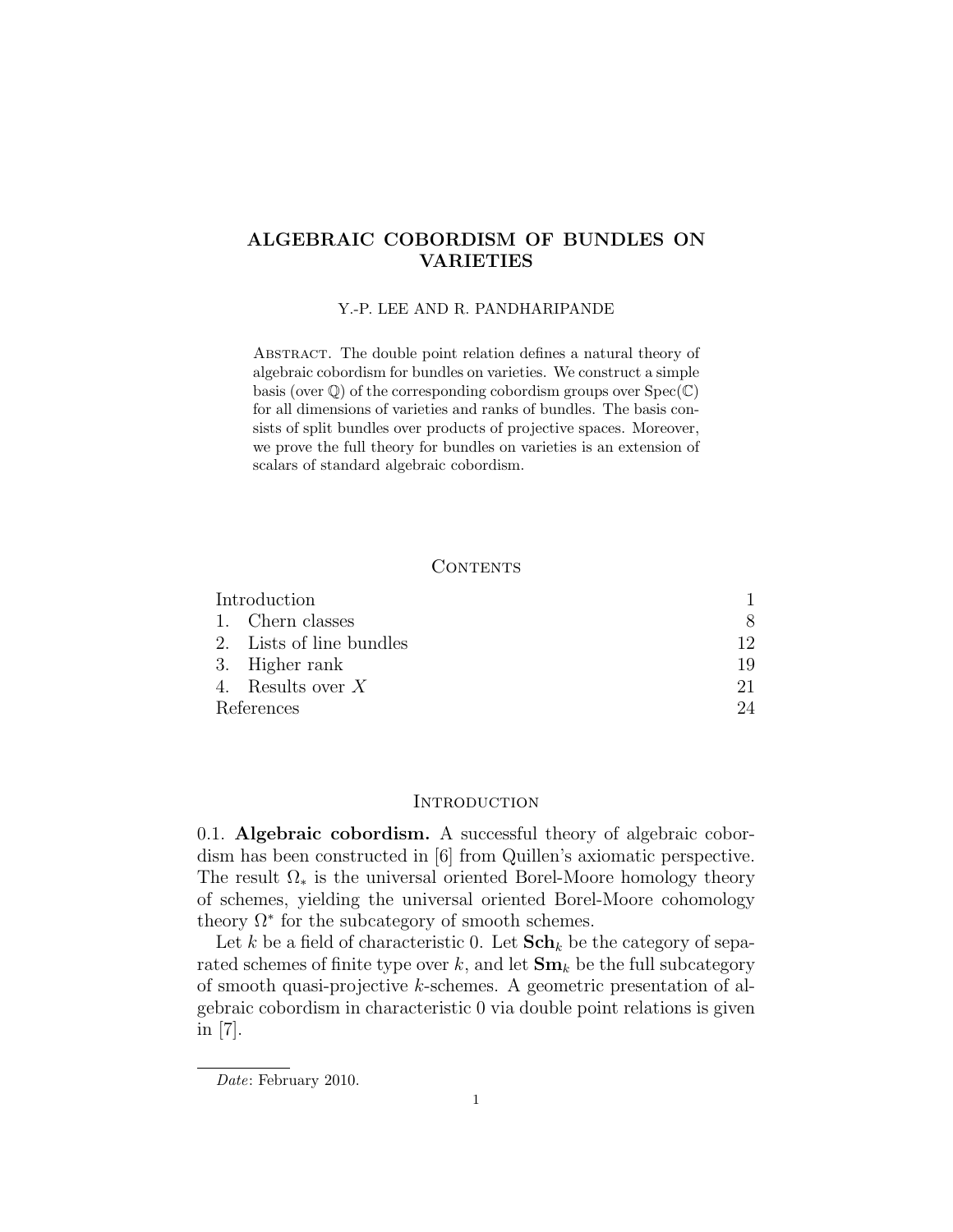# ALGEBRAIC COBORDISM OF BUNDLES ON VARIETIES

## Y.-P. LEE AND R. PANDHARIPANDE

Abstract. The double point relation defines a natural theory of algebraic cobordism for bundles on varieties. We construct a simple basis (over  $\mathbb{Q}$ ) of the corresponding cobordism groups over  $Spec(\mathbb{C})$ for all dimensions of varieties and ranks of bundles. The basis consists of split bundles over products of projective spaces. Moreover, we prove the full theory for bundles on varieties is an extension of scalars of standard algebraic cobordism.

## **CONTENTS**

| Introduction |                          |    |
|--------------|--------------------------|----|
|              | 1. Chern classes         | 8  |
|              | 2. Lists of line bundles | 12 |
|              | 3. Higher rank           | 19 |
|              | 4. Results over $X$      | 21 |
| References   |                          | 24 |

### **INTRODUCTION**

0.1. Algebraic cobordism. A successful theory of algebraic cobordism has been constructed in [6] from Quillen's axiomatic perspective. The result  $\Omega_*$  is the universal oriented Borel-Moore homology theory of schemes, yielding the universal oriented Borel-Moore cohomology theory  $\Omega^*$  for the subcategory of smooth schemes.

Let k be a field of characteristic 0. Let  $\mathbf{Sch}_k$  be the category of separated schemes of finite type over k, and let  $\mathbf{Sm}_k$  be the full subcategory of smooth quasi-projective k-schemes. A geometric presentation of algebraic cobordism in characteristic 0 via double point relations is given in [7].

Date: February 2010.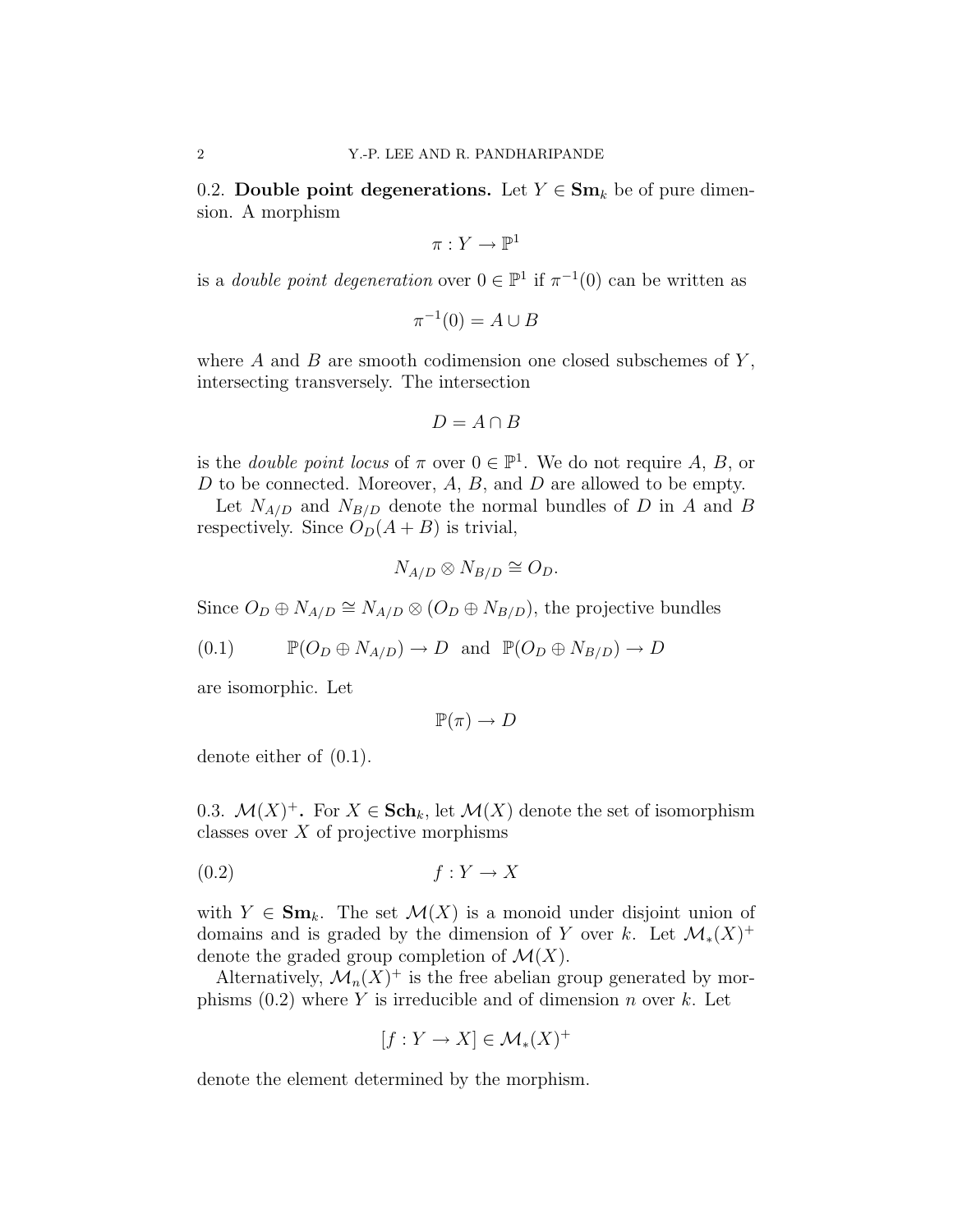0.2. Double point degenerations. Let  $Y \in \mathbf{Sm}_k$  be of pure dimension. A morphism

$$
\pi:Y\to \mathbb{P}^1
$$

is a *double point degeneration* over  $0 \in \mathbb{P}^1$  if  $\pi^{-1}(0)$  can be written as

$$
\pi^{-1}(0) = A \cup B
$$

where  $A$  and  $B$  are smooth codimension one closed subschemes of  $Y$ , intersecting transversely. The intersection

$$
D=A\cap B
$$

is the *double point locus* of  $\pi$  over  $0 \in \mathbb{P}^1$ . We do not require A, B, or  $D$  to be connected. Moreover,  $A, B$ , and  $D$  are allowed to be empty.

Let  $N_{A/D}$  and  $N_{B/D}$  denote the normal bundles of D in A and B respectively. Since  $O_D(A + B)$  is trivial,

$$
N_{A/D} \otimes N_{B/D} \cong O_D.
$$

Since  $O_D \oplus N_{A/D} \cong N_{A/D} \otimes (O_D \oplus N_{B/D})$ , the projective bundles

$$
(0.1) \t\t\t\t\mathbb{P}(O_D \oplus N_{A/D}) \to D \text{ and } \mathbb{P}(O_D \oplus N_{B/D}) \to D
$$

are isomorphic. Let

$$
\mathbb{P}(\pi) \to D
$$

denote either of (0.1).

0.3.  $\mathcal{M}(X)^+$ . For  $X \in \mathbf{Sch}_k$ , let  $\mathcal{M}(X)$  denote the set of isomorphism classes over  $X$  of projective morphisms

$$
(0.2) \t\t f: Y \to X
$$

with  $Y \in \mathbf{Sm}_k$ . The set  $\mathcal{M}(X)$  is a monoid under disjoint union of domains and is graded by the dimension of Y over k. Let  $\mathcal{M}_{*}(X)^{+}$ denote the graded group completion of  $\mathcal{M}(X)$ .

Alternatively,  $\mathcal{M}_n(X)^+$  is the free abelian group generated by morphisms  $(0.2)$  where Y is irreducible and of dimension n over k. Let

$$
[f:Y \to X] \in \mathcal{M}_*(X)^+
$$

denote the element determined by the morphism.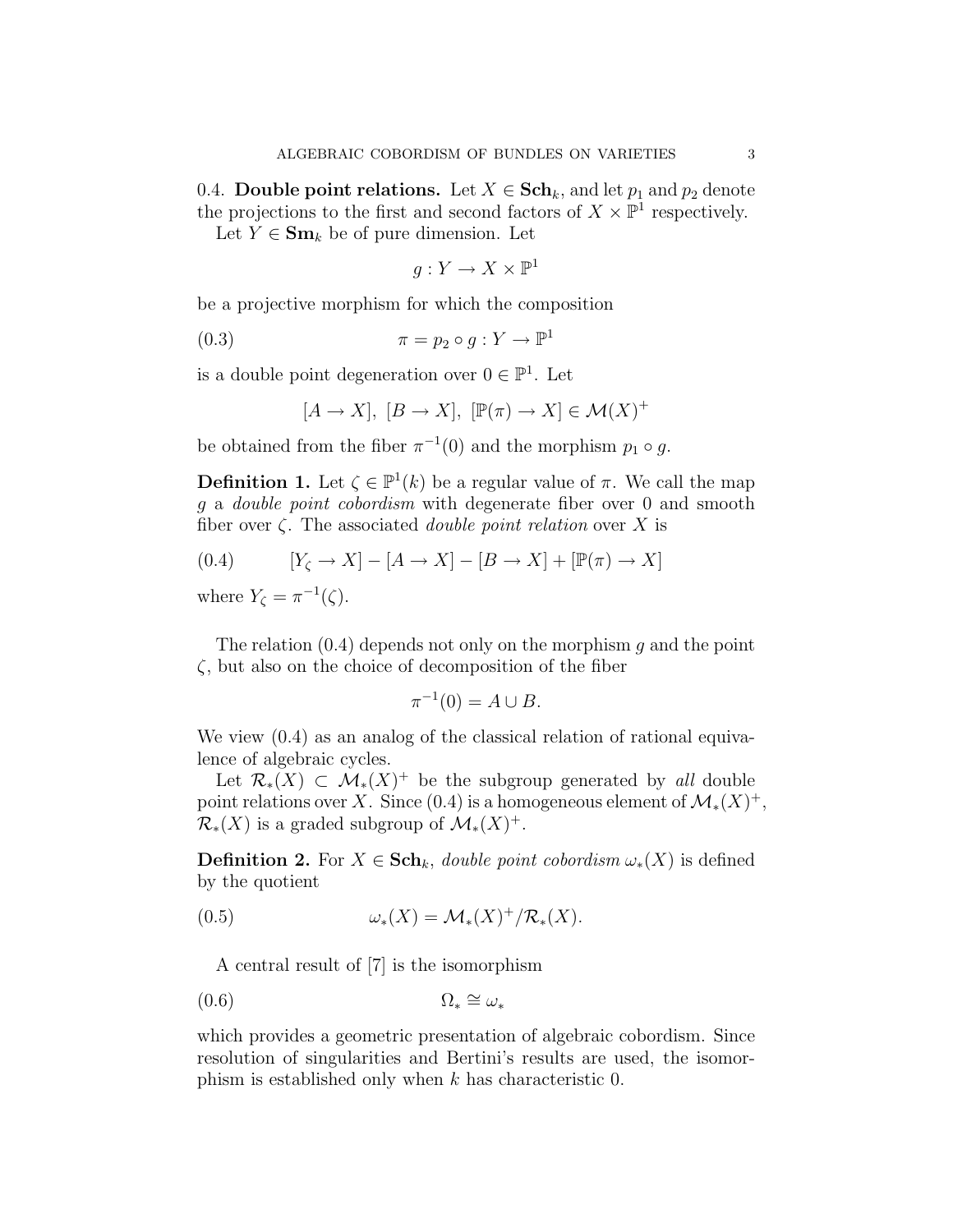0.4. **Double point relations.** Let  $X \in \mathbf{Sch}_k$ , and let  $p_1$  and  $p_2$  denote the projections to the first and second factors of  $X \times \mathbb{P}^1$  respectively.

Let  $Y \in \mathbf{Sm}_k$  be of pure dimension. Let

$$
g: Y \to X \times \mathbb{P}^1
$$

be a projective morphism for which the composition

$$
(0.3) \qquad \qquad \pi = p_2 \circ g : Y \to \mathbb{P}^1
$$

is a double point degeneration over  $0 \in \mathbb{P}^1$ . Let

$$
[A \to X], [B \to X], [\mathbb{P}(\pi) \to X] \in \mathcal{M}(X)^+
$$

be obtained from the fiber  $\pi^{-1}(0)$  and the morphism  $p_1 \circ g$ .

**Definition 1.** Let  $\zeta \in \mathbb{P}^1(k)$  be a regular value of  $\pi$ . We call the map g a double point cobordism with degenerate fiber over 0 and smooth fiber over  $\zeta$ . The associated *double point relation* over X is

$$
(0.4) \qquad [Y_{\zeta} \to X] - [A \to X] - [B \to X] + [\mathbb{P}(\pi) \to X]
$$

where  $Y_{\zeta} = \pi^{-1}(\zeta)$ .

The relation  $(0.4)$  depends not only on the morphism g and the point  $\zeta$ , but also on the choice of decomposition of the fiber

$$
\pi^{-1}(0) = A \cup B.
$$

We view  $(0.4)$  as an analog of the classical relation of rational equivalence of algebraic cycles.

Let  $\mathcal{R}_{*}(X) \subset \mathcal{M}_{*}(X)^{+}$  be the subgroup generated by all double point relations over X. Since (0.4) is a homogeneous element of  $\mathcal{M}_*(X)^+$ ,  $\mathcal{R}_*(X)$  is a graded subgroup of  $\mathcal{M}_*(X)^+$ .

**Definition 2.** For  $X \in \mathbf{Sch}_k$ , *double point cobordism*  $\omega_*(X)$  is defined by the quotient

$$
(0.5) \t\t \t\t \omega_*(X) = \mathcal{M}_*(X)^+ / \mathcal{R}_*(X).
$$

A central result of [7] is the isomorphism

$$
(0.6) \t\t \t\t \Omega_* \cong \omega_*
$$

which provides a geometric presentation of algebraic cobordism. Since resolution of singularities and Bertini's results are used, the isomorphism is established only when  $k$  has characteristic 0.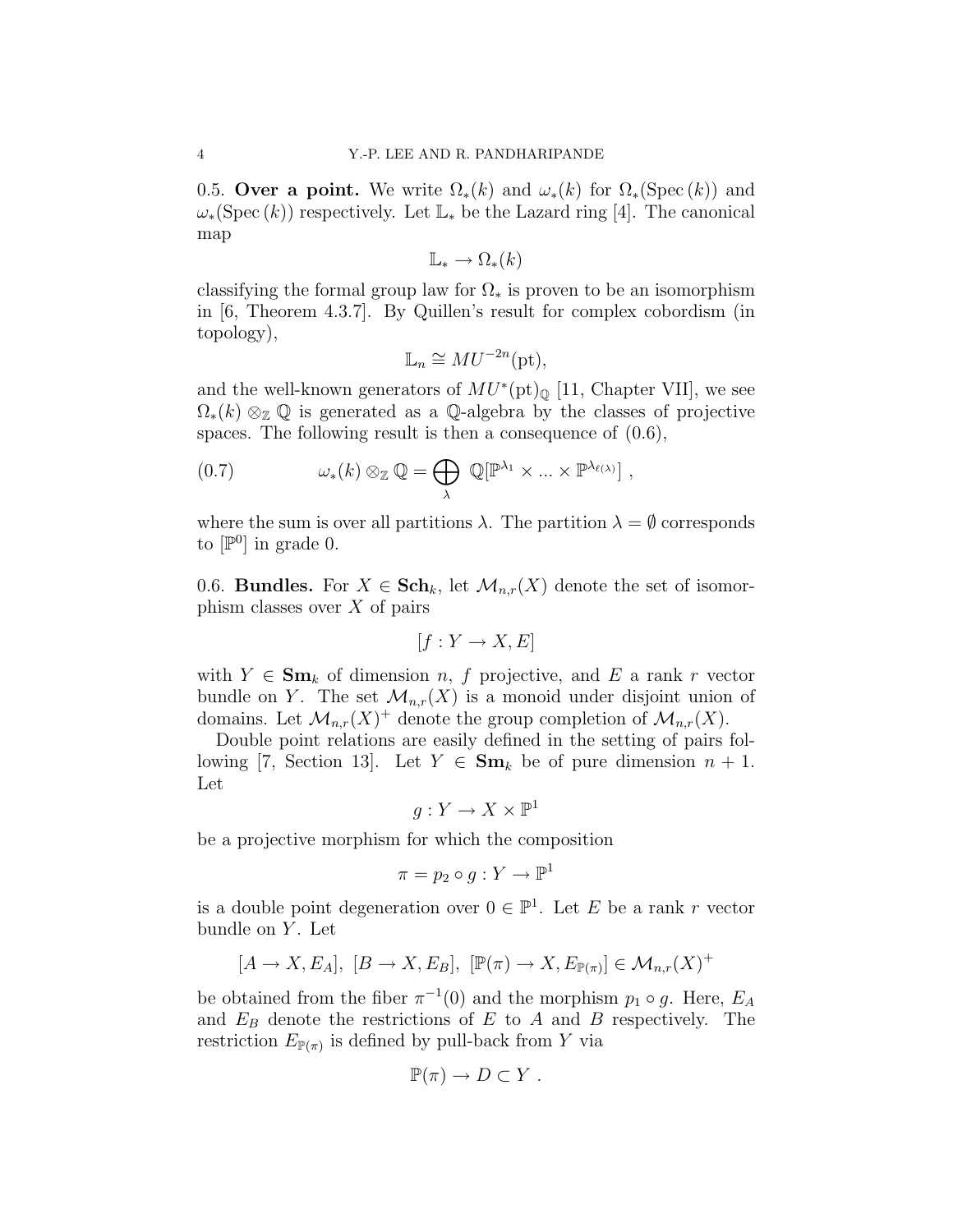0.5. Over a point. We write  $\Omega_*(k)$  and  $\omega_*(k)$  for  $\Omega_*(\text{Spec}(k))$  and  $\omega_*(\text{Spec}(k))$  respectively. Let  $\mathbb{L}_*$  be the Lazard ring [4]. The canonical map

$$
\mathbb{L}_* \to \Omega_*(k)
$$

classifying the formal group law for  $\Omega_*$  is proven to be an isomorphism in [6, Theorem 4.3.7]. By Quillen's result for complex cobordism (in topology),

$$
\mathbb{L}_n \cong MU^{-2n}(\text{pt}),
$$

and the well-known generators of  $MU^*(pt)_{\mathbb{Q}}$  [11, Chapter VII], we see  $\Omega_*(k) \otimes_{\mathbb{Z}} \mathbb{Q}$  is generated as a  $\mathbb{Q}$ -algebra by the classes of projective spaces. The following result is then a consequence of (0.6),

(0.7) 
$$
\omega_*(k) \otimes_{\mathbb{Z}} \mathbb{Q} = \bigoplus_{\lambda} \mathbb{Q}[\mathbb{P}^{\lambda_1} \times ... \times \mathbb{P}^{\lambda_{\ell(\lambda)}}],
$$

where the sum is over all partitions  $\lambda$ . The partition  $\lambda = \emptyset$  corresponds to  $[\mathbb{P}^0]$  in grade 0.

0.6. **Bundles.** For  $X \in \mathbf{Sch}_k$ , let  $\mathcal{M}_{n,r}(X)$  denote the set of isomorphism classes over  $X$  of pairs

$$
[f:Y \to X, E]
$$

with  $Y \in \mathbf{Sm}_k$  of dimension n, f projective, and E a rank r vector bundle on Y. The set  $\mathcal{M}_{n,r}(X)$  is a monoid under disjoint union of domains. Let  $\mathcal{M}_{n,r}(X)^+$  denote the group completion of  $\mathcal{M}_{n,r}(X)$ .

Double point relations are easily defined in the setting of pairs following [7, Section 13]. Let  $Y \in \mathbf{Sm}_k$  be of pure dimension  $n + 1$ . Let

$$
g: Y \to X \times \mathbb{P}^1
$$

be a projective morphism for which the composition

$$
\pi = p_2 \circ g : Y \to \mathbb{P}^1
$$

is a double point degeneration over  $0 \in \mathbb{P}^1$ . Let E be a rank r vector bundle on  $Y$ . Let

$$
[A \to X, E_A], [B \to X, E_B], [\mathbb{P}(\pi) \to X, E_{\mathbb{P}(\pi)}] \in \mathcal{M}_{n,r}(X)^+
$$

be obtained from the fiber  $\pi^{-1}(0)$  and the morphism  $p_1 \circ g$ . Here,  $E_A$ and  $E_B$  denote the restrictions of E to A and B respectively. The restriction  $E_{\mathbb{P}(\pi)}$  is defined by pull-back from Y via

$$
\mathbb{P}(\pi) \to D \subset Y.
$$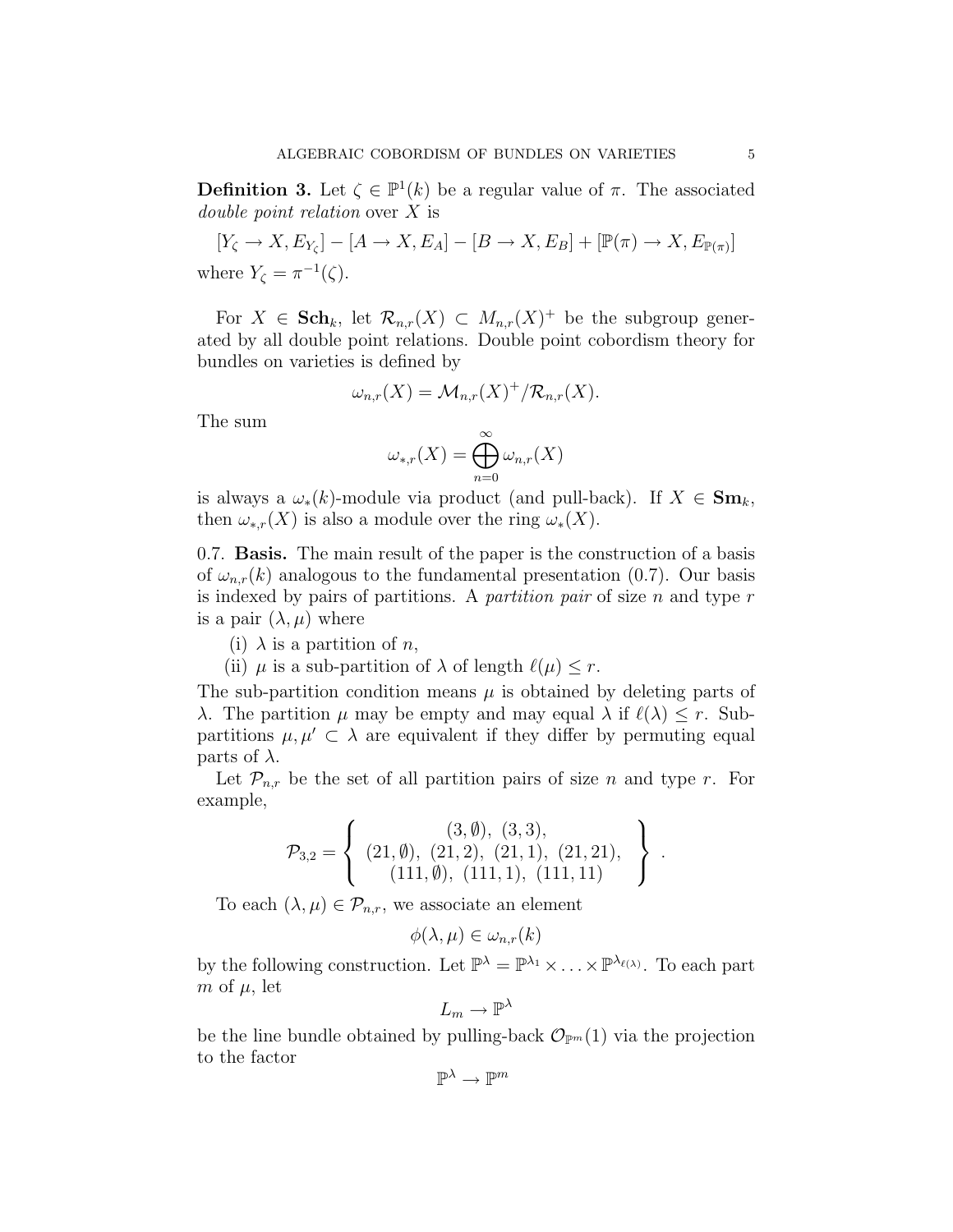**Definition 3.** Let  $\zeta \in \mathbb{P}^1(k)$  be a regular value of  $\pi$ . The associated double point relation over X is

$$
[Y_{\zeta} \to X, E_{Y_{\zeta}}] - [A \to X, E_A] - [B \to X, E_B] + [\mathbb{P}(\pi) \to X, E_{\mathbb{P}(\pi)}]
$$
  
where  $Y_{\zeta} = \pi^{-1}(\zeta)$ .

For  $X \in \mathbf{Sch}_k$ , let  $\mathcal{R}_{n,r}(X) \subset M_{n,r}(X)^+$  be the subgroup generated by all double point relations. Double point cobordism theory for bundles on varieties is defined by

$$
\omega_{n,r}(X) = \mathcal{M}_{n,r}(X)^{+}/\mathcal{R}_{n,r}(X).
$$

The sum

$$
\omega_{*,r}(X) = \bigoplus_{n=0}^{\infty} \omega_{n,r}(X)
$$

is always a  $\omega_*(k)$ -module via product (and pull-back). If  $X \in \mathbf{Sm}_k$ , then  $\omega_{*,r}(X)$  is also a module over the ring  $\omega_*(X)$ .

0.7. Basis. The main result of the paper is the construction of a basis of  $\omega_{n,r}(k)$  analogous to the fundamental presentation (0.7). Our basis is indexed by pairs of partitions. A *partition pair* of size  $n$  and type  $r$ is a pair  $(\lambda, \mu)$  where

- (i)  $\lambda$  is a partition of *n*,
- (ii)  $\mu$  is a sub-partition of  $\lambda$  of length  $\ell(\mu) \leq r$ .

The sub-partition condition means  $\mu$  is obtained by deleting parts of λ. The partition  $\mu$  may be empty and may equal  $\lambda$  if  $\ell(\lambda) \leq r$ . Subpartitions  $\mu, \mu' \subset \lambda$  are equivalent if they differ by permuting equal parts of  $\lambda$ .

Let  $\mathcal{P}_{n,r}$  be the set of all partition pairs of size n and type r. For example,

$$
\mathcal{P}_{3,2} = \left\{ \begin{array}{c} (3, \emptyset), \ (3,3), \\ (21, \emptyset), \ (21,2), \ (21,1), \ (21,21), \\ (111, \emptyset), \ (111,1), \ (111,11) \end{array} \right\} \ .
$$

To each  $(\lambda, \mu) \in \mathcal{P}_{n,r}$ , we associate an element

$$
\phi(\lambda,\mu) \in \omega_{n,r}(k)
$$

by the following construction. Let  $\mathbb{P}^{\lambda} = \mathbb{P}^{\lambda_1} \times \ldots \times \mathbb{P}^{\lambda_{\ell(\lambda)}}$ . To each part m of  $\mu$ , let

$$
L_m\to \mathbb{P}^\lambda
$$

be the line bundle obtained by pulling-back  $\mathcal{O}_{\mathbb{P}^m}(1)$  via the projection to the factor

$$
\mathbb{P}^\lambda\to\mathbb{P}^m
$$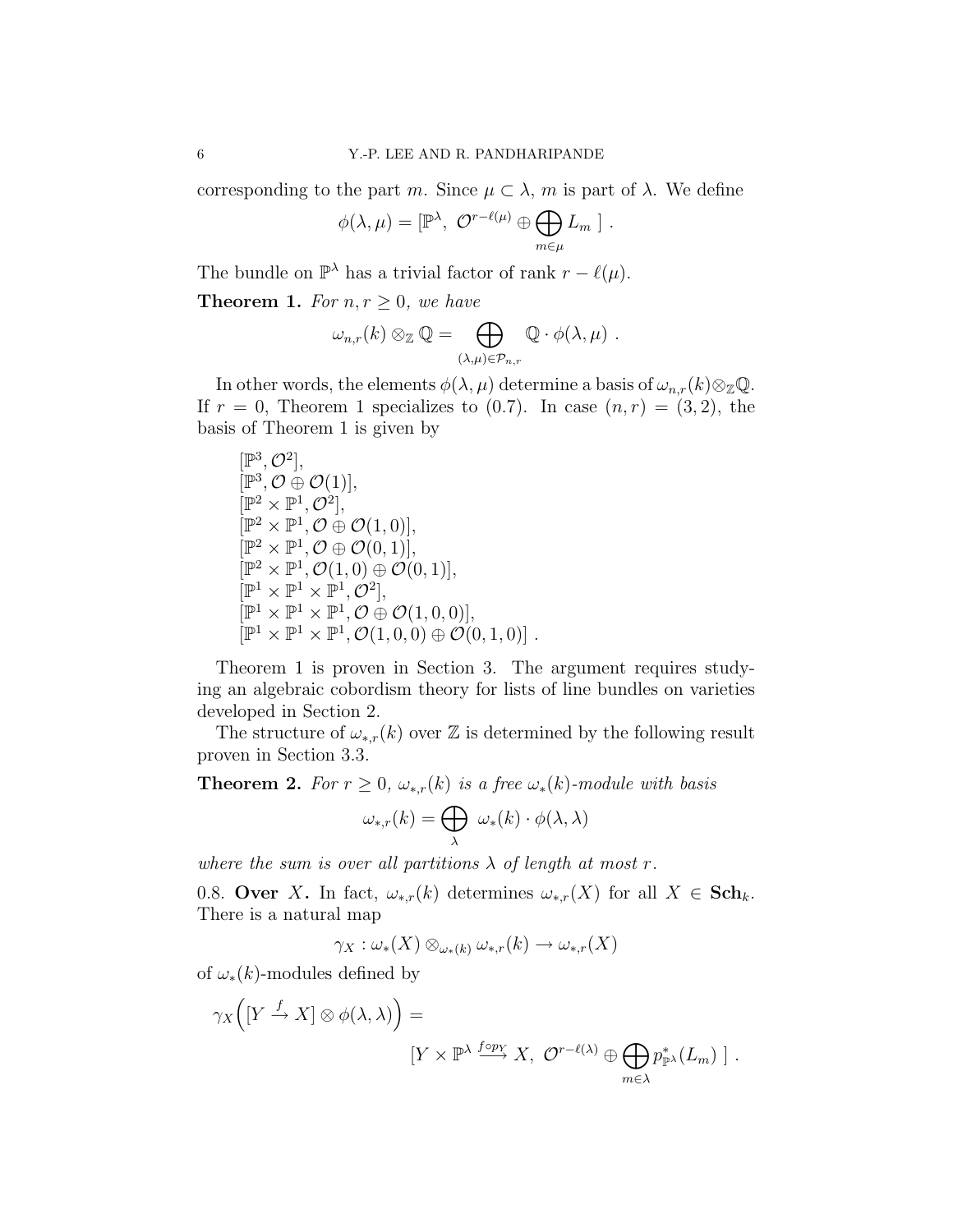corresponding to the part m. Since  $\mu \subset \lambda$ , m is part of  $\lambda$ . We define

$$
\phi(\lambda,\mu) = [\mathbb{P}^{\lambda}, \ \mathcal{O}^{r-\ell(\mu)} \oplus \bigoplus_{m \in \mu} L_m \ ].
$$

The bundle on  $\mathbb{P}^{\lambda}$  has a trivial factor of rank  $r - \ell(\mu)$ .

**Theorem 1.** For  $n, r \geq 0$ , we have

$$
\omega_{n,r}(k) \otimes_{\mathbb{Z}} \mathbb{Q} = \bigoplus_{(\lambda,\mu) \in \mathcal{P}_{n,r}} \mathbb{Q} \cdot \phi(\lambda,\mu) .
$$

In other words, the elements  $\phi(\lambda,\mu)$  determine a basis of  $\omega_{n,r}(k) \otimes_{\mathbb{Z}} \mathbb{Q}$ . If  $r = 0$ , Theorem 1 specializes to  $(0.7)$ . In case  $(n, r) = (3, 2)$ , the basis of Theorem 1 is given by

$$
\begin{aligned} &[\mathbb{P}^3,\mathcal{O}^2],\\ &[\mathbb{P}^3,\mathcal{O}\oplus\mathcal{O}(1)],\\ &[\mathbb{P}^2\times\mathbb{P}^1,\mathcal{O}^2],\\ &[\mathbb{P}^2\times\mathbb{P}^1,\mathcal{O}\oplus\mathcal{O}(1,0)],\\ &[\mathbb{P}^2\times\mathbb{P}^1,\mathcal{O}\oplus\mathcal{O}(0,1)],\\ &[\mathbb{P}^2\times\mathbb{P}^1,\mathcal{O}(1,0)\oplus\mathcal{O}(0,1)],\\ &[\mathbb{P}^1\times\mathbb{P}^1\times\mathbb{P}^1,\mathcal{O}^2],\\ &[\mathbb{P}^1\times\mathbb{P}^1\times\mathbb{P}^1,\mathcal{O}\oplus\mathcal{O}(1,0,0)],\\ &[\mathbb{P}^1\times\mathbb{P}^1\times\mathbb{P}^1,\mathcal{O}(1,0,0)\oplus\mathcal{O}(0,1,0)]\;. \end{aligned}
$$

Theorem 1 is proven in Section 3. The argument requires studying an algebraic cobordism theory for lists of line bundles on varieties developed in Section 2.

The structure of  $\omega_{*,r}(k)$  over Z is determined by the following result proven in Section 3.3.

**Theorem 2.** For  $r \geq 0$ ,  $\omega_{*,r}(k)$  is a free  $\omega_*(k)$ -module with basis

$$
\omega_{*,r}(k) = \bigoplus_{\lambda} \ \omega_*(k) \cdot \phi(\lambda, \lambda)
$$

where the sum is over all partitions  $\lambda$  of length at most r.

0.8. Over X. In fact,  $\omega_{*,r}(k)$  determines  $\omega_{*,r}(X)$  for all  $X \in Sch_k$ . There is a natural map

$$
\gamma_X : \omega_*(X) \otimes_{\omega_*(k)} \omega_{*,r}(k) \to \omega_{*,r}(X)
$$

of  $\omega_*(k)$ -modules defined by

$$
\gamma_X\Big([Y \xrightarrow{f} X] \otimes \phi(\lambda, \lambda)\Big) =
$$
  

$$
[Y \times \mathbb{P}^{\lambda} \xrightarrow{f \circ p_X} X, \ \mathcal{O}^{r-\ell(\lambda)} \oplus \bigoplus_{m \in \lambda} p_{\mathbb{P}^{\lambda}}^*(L_m) ].
$$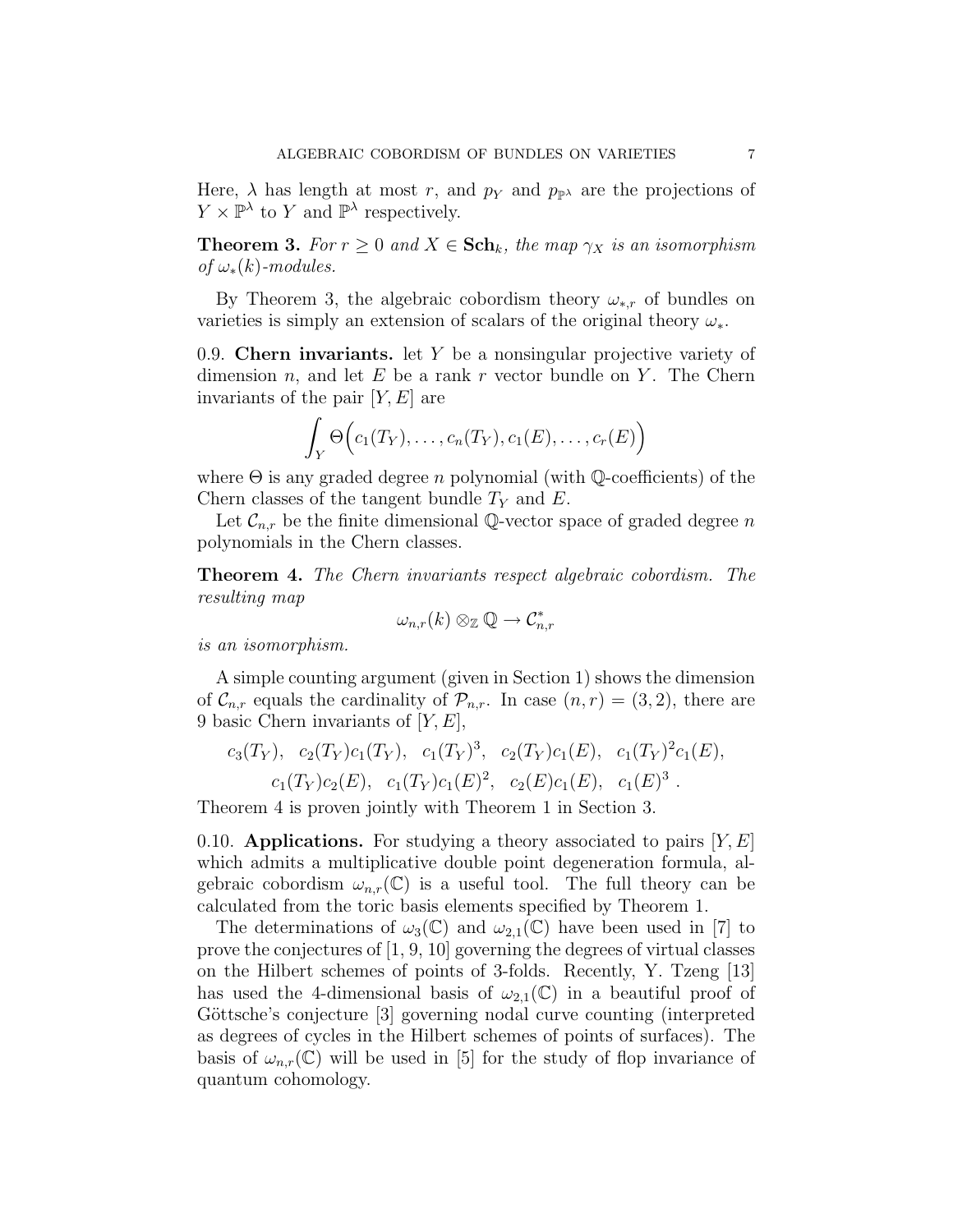Here,  $\lambda$  has length at most r, and  $p<sub>Y</sub>$  and  $p<sub>p<sub>Y</sub></sub>$  are the projections of  $Y \times \mathbb{P}^{\lambda}$  to Y and  $\mathbb{P}^{\lambda}$  respectively.

**Theorem 3.** For  $r \geq 0$  and  $X \in \mathbf{Sch}_k$ , the map  $\gamma_X$  is an isomorphism of  $\omega_*(k)$ -modules.

By Theorem 3, the algebraic cobordism theory  $\omega_{*,r}$  of bundles on varieties is simply an extension of scalars of the original theory  $\omega_*$ .

0.9. Chern invariants. let Y be a nonsingular projective variety of dimension n, and let  $E$  be a rank r vector bundle on Y. The Chern invariants of the pair  $[Y, E]$  are

$$
\int_Y \Theta\Big(c_1(T_Y),\ldots,c_n(T_Y),c_1(E),\ldots,c_r(E)\Big)
$$

where  $\Theta$  is any graded degree *n* polynomial (with  $\mathbb{Q}$ -coefficients) of the Chern classes of the tangent bundle  $T_Y$  and E.

Let  $\mathcal{C}_{n,r}$  be the finite dimensional Q-vector space of graded degree n polynomials in the Chern classes.

Theorem 4. The Chern invariants respect algebraic cobordism. The resulting map

$$
\omega_{n,r}(k)\otimes_{\mathbb Z} {\mathbb Q}\to \mathcal{C}_{n,r}^*
$$

is an isomorphism.

A simple counting argument (given in Section 1) shows the dimension of  $\mathcal{C}_{n,r}$  equals the cardinality of  $\mathcal{P}_{n,r}$ . In case  $(n,r) = (3,2)$ , there are 9 basic Chern invariants of  $[Y, E]$ ,

$$
c_3(T_Y)
$$
,  $c_2(T_Y)c_1(T_Y)$ ,  $c_1(T_Y)^3$ ,  $c_2(T_Y)c_1(E)$ ,  $c_1(T_Y)^2c_1(E)$ ,  
 $c_1(T_Y)c_2(E)$ ,  $c_1(T_Y)c_1(E)^2$ ,  $c_2(E)c_1(E)$ ,  $c_1(E)^3$ .

Theorem 4 is proven jointly with Theorem 1 in Section 3.

0.10. Applications. For studying a theory associated to pairs  $|Y, E|$ which admits a multiplicative double point degeneration formula, algebraic cobordism  $\omega_{n,r}(\mathbb{C})$  is a useful tool. The full theory can be calculated from the toric basis elements specified by Theorem 1.

The determinations of  $\omega_3(\mathbb{C})$  and  $\omega_{2,1}(\mathbb{C})$  have been used in [7] to prove the conjectures of [1, 9, 10] governing the degrees of virtual classes on the Hilbert schemes of points of 3-folds. Recently, Y. Tzeng [13] has used the 4-dimensional basis of  $\omega_{2,1}(\mathbb{C})$  in a beautiful proof of Göttsche's conjecture [3] governing nodal curve counting (interpreted as degrees of cycles in the Hilbert schemes of points of surfaces). The basis of  $\omega_{n,r}(\mathbb{C})$  will be used in [5] for the study of flop invariance of quantum cohomology.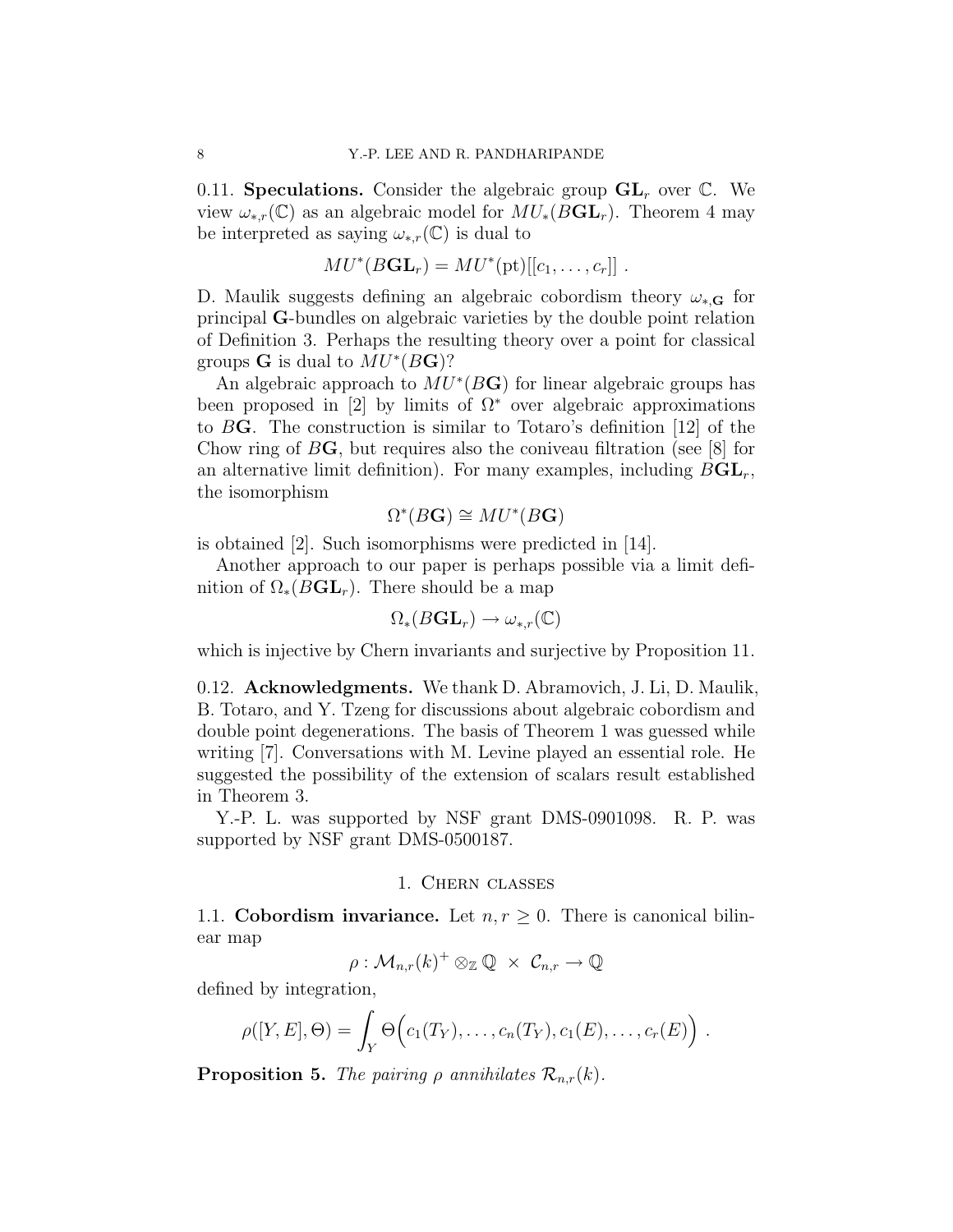0.11. Speculations. Consider the algebraic group  $GL<sub>r</sub>$  over  $\mathbb{C}$ . We view  $\omega_{*,r}(\mathbb{C})$  as an algebraic model for  $MU_*(BGL_r)$ . Theorem 4 may be interpreted as saying  $\omega_{*,r}(\mathbb{C})$  is dual to

$$
MU^*(BGL_r) = MU^*(pt)[[c_1,\ldots,c_r]] .
$$

D. Maulik suggests defining an algebraic cobordism theory  $\omega_{*,\mathbf{G}}$  for principal G-bundles on algebraic varieties by the double point relation of Definition 3. Perhaps the resulting theory over a point for classical groups **G** is dual to  $MU^*(B\mathbf{G})$ ?

An algebraic approach to  $MU^*(B\mathbf{G})$  for linear algebraic groups has been proposed in [2] by limits of  $\Omega^*$  over algebraic approximations to BG. The construction is similar to Totaro's definition [12] of the Chow ring of  $B\mathbf{G}$ , but requires also the coniveau filtration (see [8] for an alternative limit definition). For many examples, including  $BGL_r$ , the isomorphism

$$
\Omega^*(B\mathbf{G}) \cong MU^*(B\mathbf{G})
$$

is obtained [2]. Such isomorphisms were predicted in [14].

Another approach to our paper is perhaps possible via a limit definition of  $\Omega_*(BGL_r)$ . There should be a map

$$
\Omega_*(B\mathbf{GL}_r)\to \omega_{*,r}(\mathbb{C})
$$

which is injective by Chern invariants and surjective by Proposition 11.

0.12. Acknowledgments. We thank D. Abramovich, J. Li, D. Maulik, B. Totaro, and Y. Tzeng for discussions about algebraic cobordism and double point degenerations. The basis of Theorem 1 was guessed while writing [7]. Conversations with M. Levine played an essential role. He suggested the possibility of the extension of scalars result established in Theorem 3.

Y.-P. L. was supported by NSF grant DMS-0901098. R. P. was supported by NSF grant DMS-0500187.

#### 1. Chern classes

1.1. Cobordism invariance. Let  $n, r \geq 0$ . There is canonical bilinear map

 $\rho: \mathcal{M}_{n,r}(k)^+ \otimes_{\mathbb{Z}} \mathbb{Q} ~\times~ \mathcal{C}_{n,r} \to \mathbb{Q}$ 

defined by integration,

$$
\rho([Y, E], \Theta) = \int_Y \Theta\Big(c_1(T_Y), \ldots, c_n(T_Y), c_1(E), \ldots, c_r(E)\Big) .
$$

**Proposition 5.** The pairing  $\rho$  annihilates  $\mathcal{R}_{n,r}(k)$ .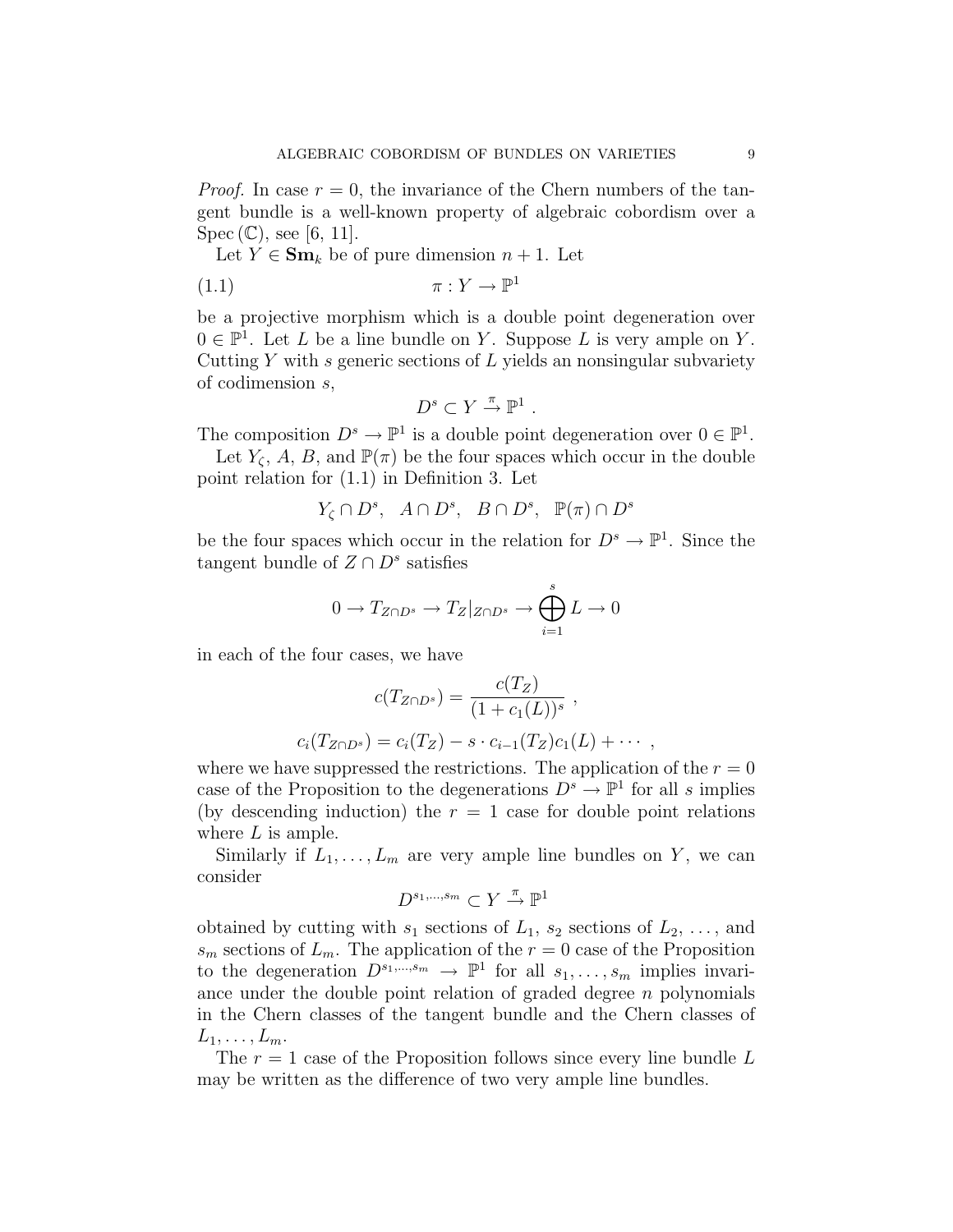*Proof.* In case  $r = 0$ , the invariance of the Chern numbers of the tangent bundle is a well-known property of algebraic cobordism over a  $Spec (\mathbb{C})$ , see [6, 11].

Let  $Y \in \mathbf{Sm}_k$  be of pure dimension  $n + 1$ . Let

$$
(1.1) \t\t \pi: Y \to \mathbb{P}^1
$$

be a projective morphism which is a double point degeneration over  $0 \in \mathbb{P}^1$ . Let L be a line bundle on Y. Suppose L is very ample on Y. Cutting  $Y$  with  $s$  generic sections of  $L$  yields an nonsingular subvariety of codimension s,

$$
D^s\subset Y \stackrel{\pi}{\rightarrow} \mathbb{P}^1\ .
$$

The composition  $D^s \to \mathbb{P}^1$  is a double point degeneration over  $0 \in \mathbb{P}^1$ .

Let  $Y_{\zeta}$ , A, B, and  $\mathbb{P}(\pi)$  be the four spaces which occur in the double point relation for (1.1) in Definition 3. Let

$$
Y_{\zeta} \cap D^s
$$
,  $A \cap D^s$ ,  $B \cap D^s$ ,  $\mathbb{P}(\pi) \cap D^s$ 

be the four spaces which occur in the relation for  $D^s \to \mathbb{P}^1$ . Since the tangent bundle of  $Z \cap D^s$  satisfies

$$
0 \to T_{Z \cap D^s} \to T_Z|_{Z \cap D^s} \to \bigoplus_{i=1}^s L \to 0
$$

in each of the four cases, we have

$$
c(T_{Z \cap D^s}) = \frac{c(T_Z)}{(1 + c_1(L))^s} ,
$$
  

$$
c_i(T_{Z \cap D^s}) = c_i(T_Z) - s \cdot c_{i-1}(T_Z)c_1(L) + \cdots ,
$$

where we have suppressed the restrictions. The application of the  $r = 0$ case of the Proposition to the degenerations  $D^s \to \mathbb{P}^1$  for all s implies (by descending induction) the  $r = 1$  case for double point relations where  $L$  is ample.

Similarly if  $L_1, \ldots, L_m$  are very ample line bundles on Y, we can consider

$$
D^{s_1,\dots,s_m}\subset Y \stackrel{\pi}{\to} \mathbb{P}^1
$$

obtained by cutting with  $s_1$  sections of  $L_1$ ,  $s_2$  sections of  $L_2$ , ..., and  $s_m$  sections of  $L_m$ . The application of the  $r = 0$  case of the Proposition to the degeneration  $D^{s_1,\dots,s_m} \to \mathbb{P}^1$  for all  $s_1,\dots,s_m$  implies invariance under the double point relation of graded degree  $n$  polynomials in the Chern classes of the tangent bundle and the Chern classes of  $L_1,\ldots,L_m$ .

The  $r = 1$  case of the Proposition follows since every line bundle  $L$ may be written as the difference of two very ample line bundles.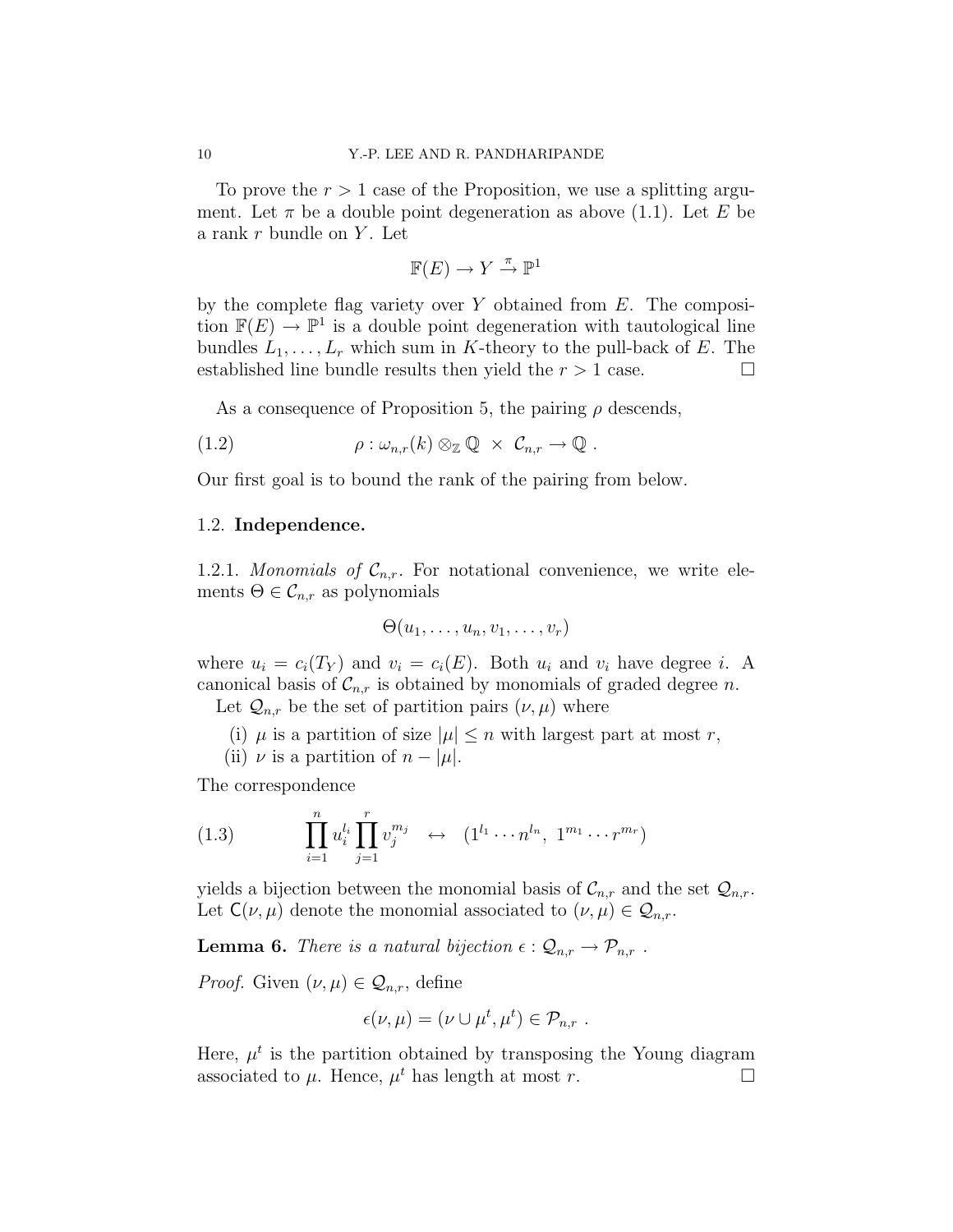To prove the  $r > 1$  case of the Proposition, we use a splitting argument. Let  $\pi$  be a double point degeneration as above (1.1). Let E be a rank  $r$  bundle on  $Y$ . Let

$$
\mathbb{F}(E) \to Y \stackrel{\pi}{\to} \mathbb{P}^1
$$

by the complete flag variety over Y obtained from  $E$ . The composition  $\mathbb{F}(E) \to \mathbb{P}^1$  is a double point degeneration with tautological line bundles  $L_1, \ldots, L_r$  which sum in K-theory to the pull-back of E. The established line bundle results then yield the  $r > 1$  case.

As a consequence of Proposition 5, the pairing  $\rho$  descends,

(1.2) 
$$
\rho: \omega_{n,r}(k) \otimes_{\mathbb{Z}} \mathbb{Q} \times \mathcal{C}_{n,r} \to \mathbb{Q} .
$$

Our first goal is to bound the rank of the pairing from below.

#### 1.2. Independence.

1.2.1. Monomials of  $\mathcal{C}_{n,r}$ . For notational convenience, we write elements  $\Theta \in \mathcal{C}_{n,r}$  as polynomials

$$
\Theta(u_1,\ldots,u_n,v_1,\ldots,v_r)
$$

where  $u_i = c_i(T_Y)$  and  $v_i = c_i(E)$ . Both  $u_i$  and  $v_i$  have degree i. A canonical basis of  $\mathcal{C}_{n,r}$  is obtained by monomials of graded degree n.

Let  $\mathcal{Q}_{n,r}$  be the set of partition pairs  $(\nu,\mu)$  where

(i)  $\mu$  is a partition of size  $|\mu| \leq n$  with largest part at most r,

(ii)  $\nu$  is a partition of  $n - |\mu|$ .

The correspondence

(1.3) 
$$
\prod_{i=1}^{n} u_i^{l_i} \prod_{j=1}^{r} v_j^{m_j} \leftrightarrow (1^{l_1} \cdots n^{l_n}, 1^{m_1} \cdots r^{m_r})
$$

yields a bijection between the monomial basis of  $\mathcal{C}_{n,r}$  and the set  $\mathcal{Q}_{n,r}$ . Let  $C(\nu,\mu)$  denote the monomial associated to  $(\nu,\mu) \in \mathcal{Q}_{n,r}$ .

**Lemma 6.** There is a natural bijection  $\epsilon : \mathcal{Q}_{n,r} \to \mathcal{P}_{n,r}$ .

*Proof.* Given  $(\nu, \mu) \in \mathcal{Q}_{n,r}$ , define

$$
\epsilon(\nu,\mu)=(\nu\cup\mu^t,\mu^t)\in\mathcal{P}_{n,r}.
$$

Here,  $\mu^t$  is the partition obtained by transposing the Young diagram associated to  $\mu$ . Hence,  $\mu^t$  has length at most r.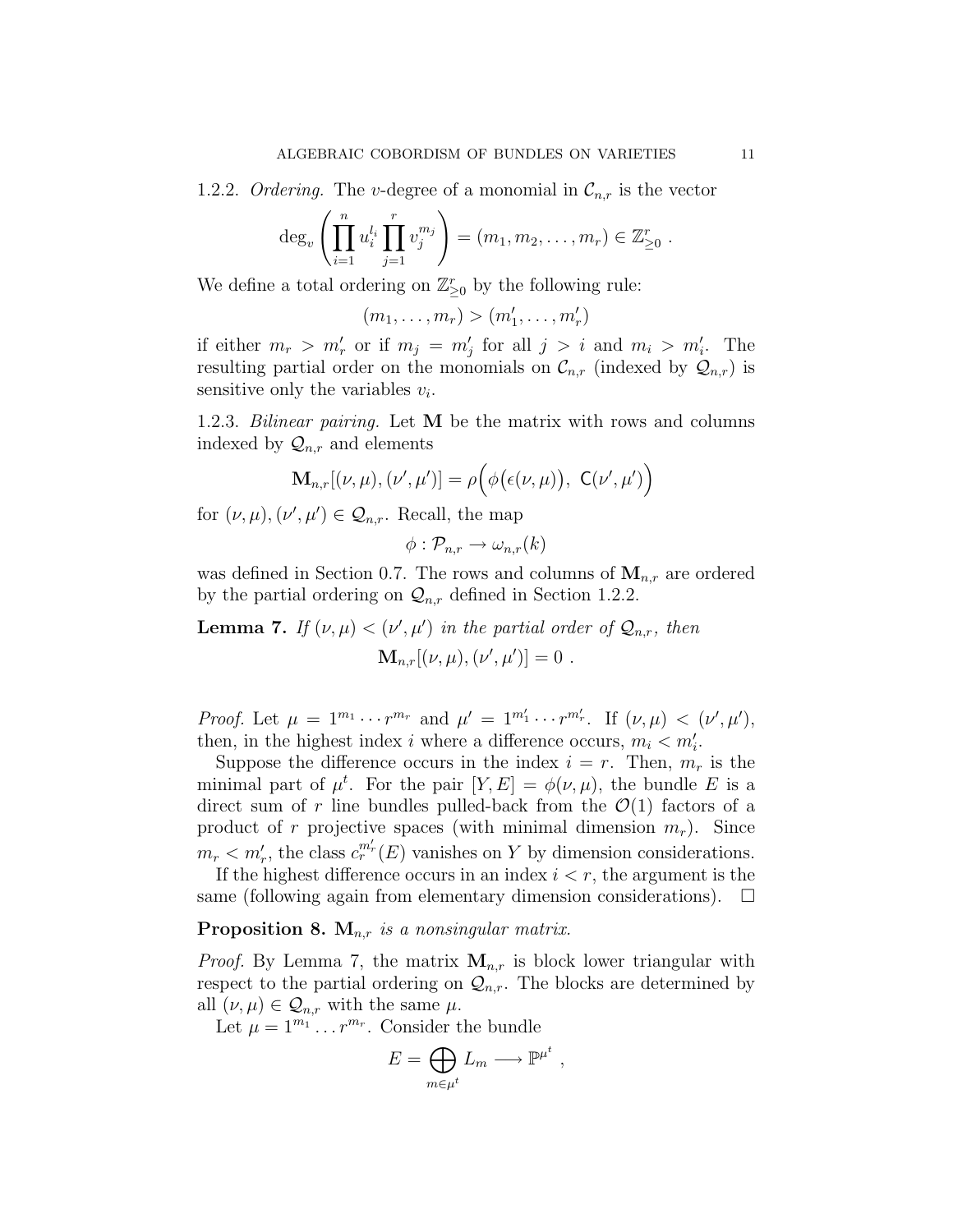1.2.2. Ordering. The v-degree of a monomial in  $\mathcal{C}_{n,r}$  is the vector

$$
\deg_v \left( \prod_{i=1}^n u_i^{l_i} \prod_{j=1}^r v_j^{m_j} \right) = (m_1, m_2, \dots, m_r) \in \mathbb{Z}_{\geq 0}^r
$$
.

We define a total ordering on  $\mathbb{Z}_{\geq 0}^r$  by the following rule:

$$
(m_1,\ldots,m_r)>(m'_1,\ldots,m'_r)
$$

if either  $m_r > m'_r$  or if  $m_j = m'_j$  for all  $j > i$  and  $m_i > m'_i$ . The resulting partial order on the monomials on  $\mathcal{C}_{n,r}$  (indexed by  $\mathcal{Q}_{n,r}$ ) is sensitive only the variables  $v_i$ .

1.2.3. Bilinear pairing. Let M be the matrix with rows and columns indexed by  $\mathcal{Q}_{n,r}$  and elements

$$
\mathbf{M}_{n,r}[(\nu,\mu),(\nu',\mu')] = \rho\Big(\phi\big(\epsilon(\nu,\mu)\big),\ \mathsf{C}(\nu',\mu')\Big)
$$

for  $(\nu, \mu), (\nu', \mu') \in \mathcal{Q}_{n,r}$ . Recall, the map

$$
\phi: \mathcal{P}_{n,r} \to \omega_{n,r}(k)
$$

was defined in Section 0.7. The rows and columns of  $M_{n,r}$  are ordered by the partial ordering on  $\mathcal{Q}_{n,r}$  defined in Section 1.2.2.

**Lemma 7.** If  $(\nu, \mu) < (\nu', \mu')$  in the partial order of  $\mathcal{Q}_{n,r}$ , then  $\mathbf{M}_{n,r}[(\nu,\mu),(\nu',\mu')] = 0$ .

Proof. Let  $\mu = 1^{m_1} \cdots r^{m_r}$  and  $\mu' = 1^{m'_1} \cdots r^{m'_r}$ . If  $(\nu, \mu) < (\nu', \mu')$ , then, in the highest index i where a difference occurs,  $m_i < m'_i$ .

Suppose the difference occurs in the index  $i = r$ . Then,  $m_r$  is the minimal part of  $\mu^t$ . For the pair  $[Y, E] = \phi(\nu, \mu)$ , the bundle E is a direct sum of r line bundles pulled-back from the  $\mathcal{O}(1)$  factors of a product of r projective spaces (with minimal dimension  $m_r$ ). Since  $m_r < m'_r$ , the class  $c_r^{m'_r}(E)$  vanishes on Y by dimension considerations.

If the highest difference occurs in an index  $i < r$ , the argument is the same (following again from elementary dimension considerations).  $\Box$ 

## **Proposition 8.**  $M_{n,r}$  is a nonsingular matrix.

*Proof.* By Lemma 7, the matrix  $M_{n,r}$  is block lower triangular with respect to the partial ordering on  $\mathcal{Q}_{n,r}$ . The blocks are determined by all  $(\nu,\mu) \in \mathcal{Q}_{n,r}$  with the same  $\mu$ .

Let  $\mu = 1^{m_1} \dots r^{m_r}$ . Consider the bundle

$$
E = \bigoplus_{m \in \mu^t} L_m \longrightarrow \mathbb{P}^{\mu^t} ,
$$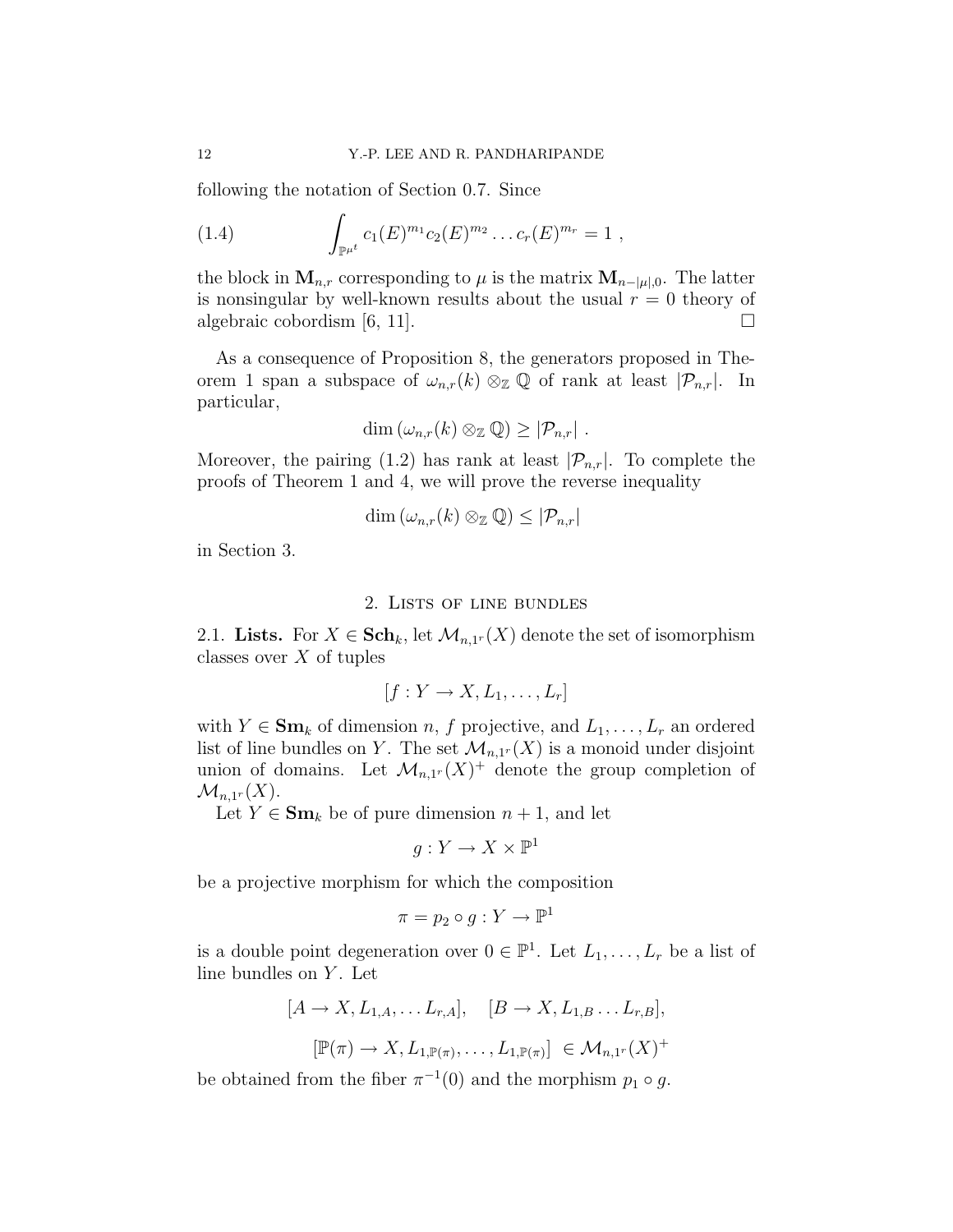following the notation of Section 0.7. Since

(1.4) 
$$
\int_{\mathbb{P}^{\mu^t}} c_1(E)^{m_1} c_2(E)^{m_2} \dots c_r(E)^{m_r} = 1,
$$

the block in  $\mathbf{M}_{n,r}$  corresponding to  $\mu$  is the matrix  $\mathbf{M}_{n-|\mu|,0}$ . The latter is nonsingular by well-known results about the usual  $r = 0$  theory of algebraic cobordism [6, 11].  $\Box$ 

As a consequence of Proposition 8, the generators proposed in Theorem 1 span a subspace of  $\omega_{n,r}(k) \otimes_{\mathbb{Z}} \mathbb{Q}$  of rank at least  $|\mathcal{P}_{n,r}|$ . In particular,

$$
\dim (\omega_{n,r}(k)\otimes_{\mathbb{Z}}\mathbb{Q})\geq |\mathcal{P}_{n,r}|.
$$

Moreover, the pairing (1.2) has rank at least  $|\mathcal{P}_{n,r}|$ . To complete the proofs of Theorem 1 and 4, we will prove the reverse inequality

$$
\dim(\omega_{n,r}(k)\otimes_{\mathbb{Z}}\mathbb{Q})\leq |\mathcal{P}_{n,r}|
$$

in Section 3.

#### 2. Lists of line bundles

2.1. Lists. For  $X \in \mathbf{Sch}_k$ , let  $\mathcal{M}_{n,1^r}(X)$  denote the set of isomorphism classes over  $X$  of tuples

$$
[f:Y \to X, L_1, \ldots, L_r]
$$

with  $Y \in \mathbf{Sm}_k$  of dimension n, f projective, and  $L_1, \ldots, L_r$  an ordered list of line bundles on Y. The set  $\mathcal{M}_{n,1}(X)$  is a monoid under disjoint union of domains. Let  $\mathcal{M}_{n,1}(X)^+$  denote the group completion of  $\mathcal{M}_{n,1^r}(X).$ 

Let  $Y \in \mathbf{Sm}_k$  be of pure dimension  $n+1$ , and let

$$
g:Y\to X\times \mathbb{P}^1
$$

be a projective morphism for which the composition

$$
\pi = p_2 \circ g : Y \to \mathbb{P}^1
$$

is a double point degeneration over  $0 \in \mathbb{P}^1$ . Let  $L_1, \ldots, L_r$  be a list of line bundles on  $Y$ . Let

$$
[A \to X, L_{1,A}, \dots L_{r,A}], \quad [B \to X, L_{1,B} \dots L_{r,B}],
$$
  

$$
[\mathbb{P}(\pi) \to X, L_{1,\mathbb{P}(\pi)}, \dots, L_{1,\mathbb{P}(\pi)}] \in \mathcal{M}_{n,1}(X)^+
$$

be obtained from the fiber  $\pi^{-1}(0)$  and the morphism  $p_1 \circ g$ .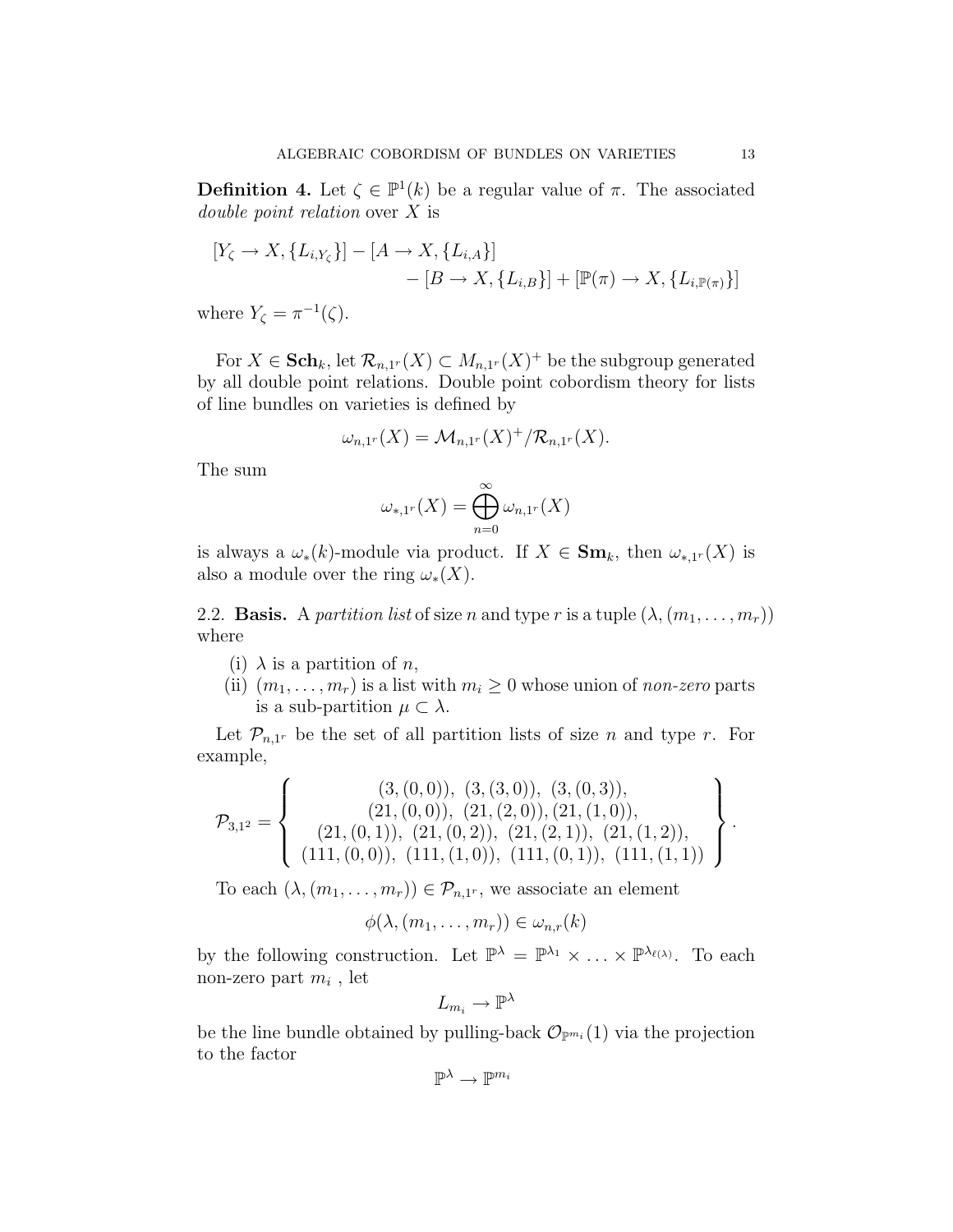**Definition 4.** Let  $\zeta \in \mathbb{P}^1(k)$  be a regular value of  $\pi$ . The associated double point relation over X is

$$
[Y_{\zeta} \to X, \{L_{i,Y_{\zeta}}\}] - [A \to X, \{L_{i,A}\}] - [B \to X, \{L_{i,B}\}] + [\mathbb{P}(\pi) \to X, \{L_{i,\mathbb{P}(\pi)}\}]
$$

where  $Y_{\zeta} = \pi^{-1}(\zeta)$ .

For  $X \in \mathbf{Sch}_k$ , let  $\mathcal{R}_{n,1^r}(X) \subset M_{n,1^r}(X)^+$  be the subgroup generated by all double point relations. Double point cobordism theory for lists of line bundles on varieties is defined by

$$
\omega_{n,1^r}(X) = \mathcal{M}_{n,1^r}(X)^+ / \mathcal{R}_{n,1^r}(X).
$$

The sum

$$
\omega_{*,1^r}(X) = \bigoplus_{n=0}^{\infty} \omega_{n,1^r}(X)
$$

is always a  $\omega_*(k)$ -module via product. If  $X \in \mathbf{Sm}_k$ , then  $\omega_{*,1^r}(X)$  is also a module over the ring  $\omega_*(X)$ .

2.2. **Basis.** A partition list of size n and type r is a tuple  $(\lambda, (m_1, \ldots, m_r))$ where

- (i)  $\lambda$  is a partition of n,
- (ii)  $(m_1, \ldots, m_r)$  is a list with  $m_i \geq 0$  whose union of non-zero parts is a sub-partition  $\mu \subset \lambda$ .

Let  $\mathcal{P}_{n,1^r}$  be the set of all partition lists of size n and type r. For example,

$$
\mathcal{P}_{3,1^2} = \left\{\begin{array}{c}(3,(0,0)),\ (3,(3,0)),\ (3,(0,3)),\\(21,(0,0)),\ (21,(2,0)), (21,(1,0)),\\(21,(0,1)),\ (21,(0,2)),\ (21,(2,1)),\ (21,(1,2)),\\(111,(0,0)),\ (111,(1,0)),\ (111,(0,1)),\ (111,(1,1))\end{array}\right\}
$$

To each  $(\lambda, (m_1, \ldots, m_r)) \in \mathcal{P}_{n,1^r}$ , we associate an element

$$
\phi(\lambda,(m_1,\ldots,m_r))\in\omega_{n,r}(k)
$$

by the following construction. Let  $\mathbb{P}^{\lambda} = \mathbb{P}^{\lambda_1} \times ... \times \mathbb{P}^{\lambda_{\ell(\lambda)}}$ . To each non-zero part  $m_i$  , let

$$
L_{m_i}\to \mathbb{P}^\lambda
$$

be the line bundle obtained by pulling-back  $\mathcal{O}_{\mathbb{P}^{m_i}}(1)$  via the projection to the factor

$$
\mathbb{P}^{\lambda} \to \mathbb{P}^{m_i}
$$

.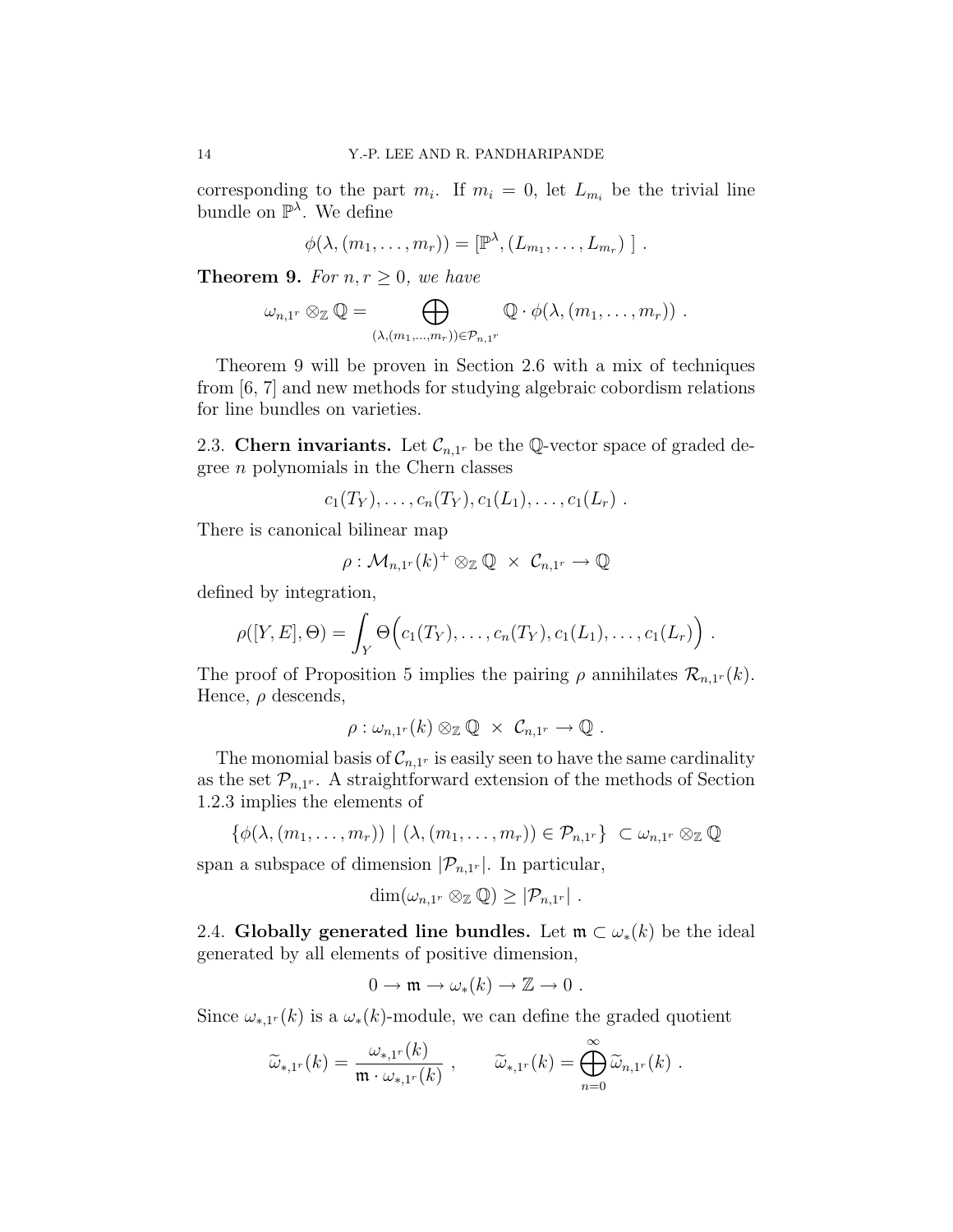corresponding to the part  $m_i$ . If  $m_i = 0$ , let  $L_{m_i}$  be the trivial line bundle on  $\mathbb{P}^{\lambda}$ . We define

$$
\phi(\lambda,(m_1,\ldots,m_r))=[\mathbb{P}^{\lambda},(L_{m_1},\ldots,L_{m_r})].
$$

**Theorem 9.** For  $n, r \geq 0$ , we have

$$
\omega_{n,1^r} \otimes_{\mathbb{Z}} \mathbb{Q} = \bigoplus_{(\lambda,(m_1,...,m_r)) \in \mathcal{P}_{n,1^r}} \mathbb{Q} \cdot \phi(\lambda,(m_1,...,m_r)).
$$

Theorem 9 will be proven in Section 2.6 with a mix of techniques from [6, 7] and new methods for studying algebraic cobordism relations for line bundles on varieties.

2.3. Chern invariants. Let  $\mathcal{C}_{n,1^r}$  be the Q-vector space of graded degree n polynomials in the Chern classes

$$
c_1(T_Y), \ldots, c_n(T_Y), c_1(L_1), \ldots, c_1(L_r)
$$
.

There is canonical bilinear map

$$
\rho: \mathcal{M}_{n,1^r}(k)^+ \otimes_{\mathbb{Z}} \mathbb{Q} \times \mathcal{C}_{n,1^r} \to \mathbb{Q}
$$

defined by integration,

$$
\rho([Y,E],\Theta)=\int_Y \Theta\Big(c_1(T_Y),\ldots,c_n(T_Y),c_1(L_1),\ldots,c_1(L_r)\Big)\ .
$$

The proof of Proposition 5 implies the pairing  $\rho$  annihilates  $\mathcal{R}_{n,1^r}(k)$ . Hence,  $\rho$  descends,

$$
\rho: \omega_{n,1^r}(k) \otimes_{\mathbb{Z}} \mathbb{Q} \times \mathcal{C}_{n,1^r} \to \mathbb{Q} .
$$

The monomial basis of  $\mathcal{C}_{n,1^r}$  is easily seen to have the same cardinality as the set  $\mathcal{P}_{n,1^r}$ . A straightforward extension of the methods of Section 1.2.3 implies the elements of

$$
\{\phi(\lambda,(m_1,\ldots,m_r))\mid (\lambda,(m_1,\ldots,m_r))\in \mathcal{P}_{n,1^r}\}\subset \omega_{n,1^r}\otimes_{\mathbb{Z}}\mathbb{Q}
$$

span a subspace of dimension  $|\mathcal{P}_{n,1r}|$ . In particular,

$$
\dim(\omega_{n,1^r}\otimes_{\mathbb{Z}}\mathbb{Q})\geq |\mathcal{P}_{n,1^r}|.
$$

2.4. Globally generated line bundles. Let  $\mathfrak{m} \subset \omega_*(k)$  be the ideal generated by all elements of positive dimension,

$$
0 \to \mathfrak{m} \to \omega_*(k) \to \mathbb{Z} \to 0 .
$$

Since  $\omega_{*,1}(k)$  is a  $\omega_{*}(k)$ -module, we can define the graded quotient

$$
\widetilde{\omega}_{*,1^r}(k) = \frac{\omega_{*,1^r}(k)}{\mathfrak{m} \cdot \omega_{*,1^r}(k)} , \qquad \widetilde{\omega}_{*,1^r}(k) = \bigoplus_{n=0}^{\infty} \widetilde{\omega}_{n,1^r}(k) .
$$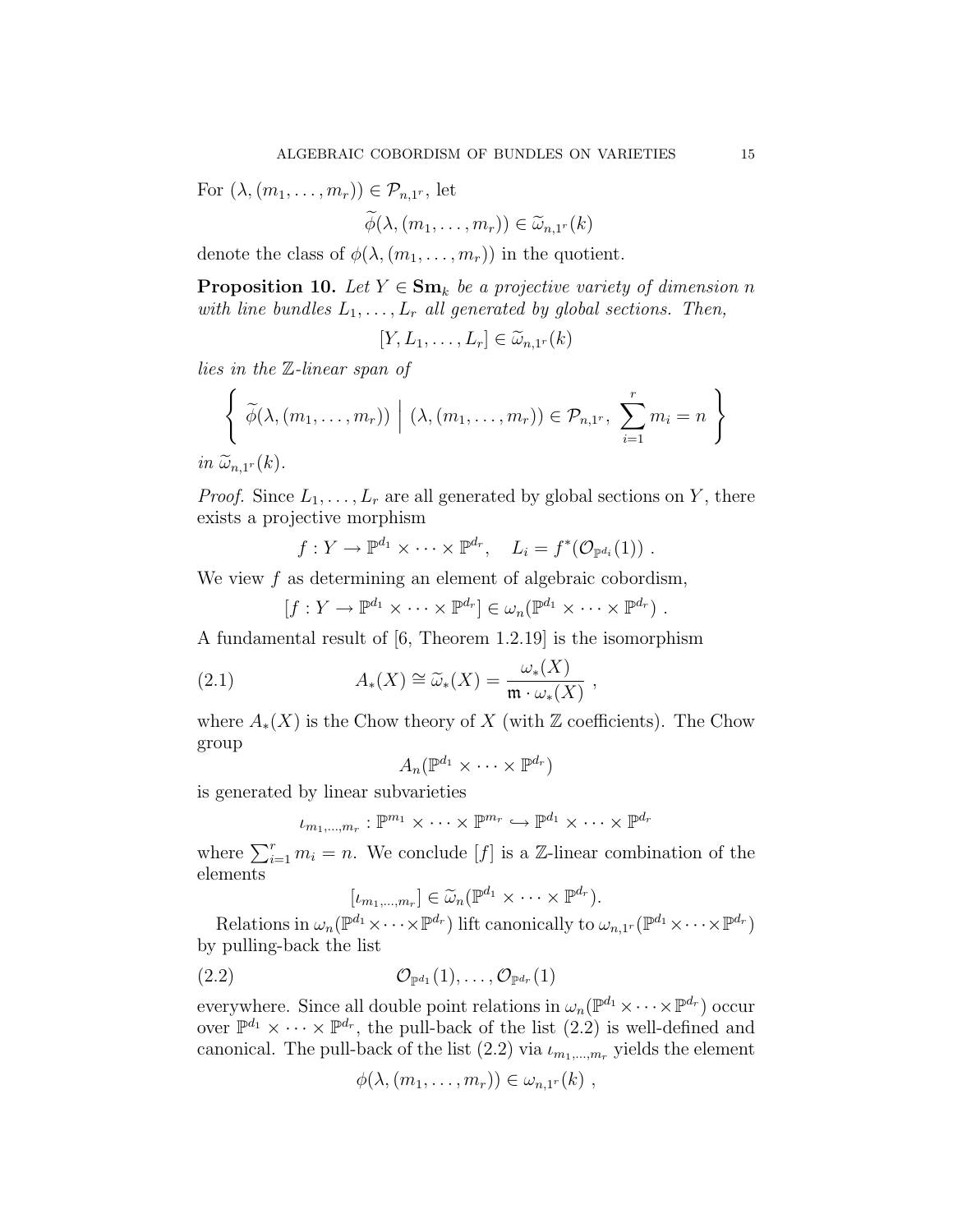For  $(\lambda, (m_1, \ldots, m_r)) \in \mathcal{P}_{n,1^r}$ , let

$$
\widetilde{\phi}(\lambda,(m_1,\ldots,m_r))\in\widetilde{\omega}_{n,1^r}(k)
$$

denote the class of  $\phi(\lambda,(m_1,\ldots,m_r))$  in the quotient.

**Proposition 10.** Let  $Y \in \mathbf{Sm}_k$  be a projective variety of dimension n with line bundles  $L_1, \ldots, L_r$  all generated by global sections. Then,

 $[Y, L_1, \ldots, L_r] \in \widetilde{\omega}_{n,1^r}(k)$ 

lies in the Z-linear span of

$$
\left\{\n \widetilde{\phi}(\lambda,(m_1,\ldots,m_r)) \mid (\lambda,(m_1,\ldots,m_r)) \in \mathcal{P}_{n,1^r}, \sum_{i=1}^r m_i = n \right\}
$$

 $in \ \widetilde{\omega}_{n,1^r}(k)$ .

*Proof.* Since  $L_1, \ldots, L_r$  are all generated by global sections on Y, there exists a projective morphism

 $f: Y \to \mathbb{P}^{d_1} \times \cdots \times \mathbb{P}^{d_r}, \quad L_i = f^*(\mathcal{O}_{\mathbb{P}^{d_i}}(1))$ .

We view  $f$  as determining an element of algebraic cobordism,

 $[f: Y \to \mathbb{P}^{d_1} \times \cdots \times \mathbb{P}^{d_r}] \in \omega_n(\mathbb{P}^{d_1} \times \cdots \times \mathbb{P}^{d_r})$ .

A fundamental result of [6, Theorem 1.2.19] is the isomorphism

(2.1) 
$$
A_*(X) \cong \widetilde{\omega}_*(X) = \frac{\omega_*(X)}{\mathfrak{m} \cdot \omega_*(X)},
$$

where  $A_*(X)$  is the Chow theory of X (with Z coefficients). The Chow group

$$
A_n(\mathbb{P}^{d_1}\times\cdots\times\mathbb{P}^{d_r})
$$

is generated by linear subvarieties

$$
\iota_{m_1,\ldots,m_r}:\mathbb{P}^{m_1}\times\cdots\times\mathbb{P}^{m_r}\hookrightarrow\mathbb{P}^{d_1}\times\cdots\times\mathbb{P}^{d_r}
$$

where  $\sum_{i=1}^r m_i = n$ . We conclude [f] is a Z-linear combination of the elements

$$
[\iota_{m_1,\ldots,m_r}] \in \widetilde{\omega}_n(\mathbb{P}^{d_1} \times \cdots \times \mathbb{P}^{d_r}).
$$

Relations in  $\omega_n(\mathbb{P}^{d_1}\times\cdots\times\mathbb{P}^{d_r})$  lift canonically to  $\omega_{n,1^r}(\mathbb{P}^{d_1}\times\cdots\times\mathbb{P}^{d_r})$ by pulling-back the list

$$
(2.2) \t\t \t\t \mathcal{O}_{\mathbb{P}^{d_1}}(1),\ldots,\mathcal{O}_{\mathbb{P}^{d_r}}(1)
$$

everywhere. Since all double point relations in  $\omega_n(\mathbb{P}^{d_1} \times \cdots \times \mathbb{P}^{d_r})$  occur over  $\mathbb{P}^{d_1} \times \cdots \times \mathbb{P}^{d_r}$ , the pull-back of the list  $(2.2)$  is well-defined and canonical. The pull-back of the list  $(2.2)$  via  $\iota_{m_1,\dots,m_r}$  yields the element

$$
\phi(\lambda,(m_1,\ldots,m_r))\in\omega_{n,1^r}(k) ,
$$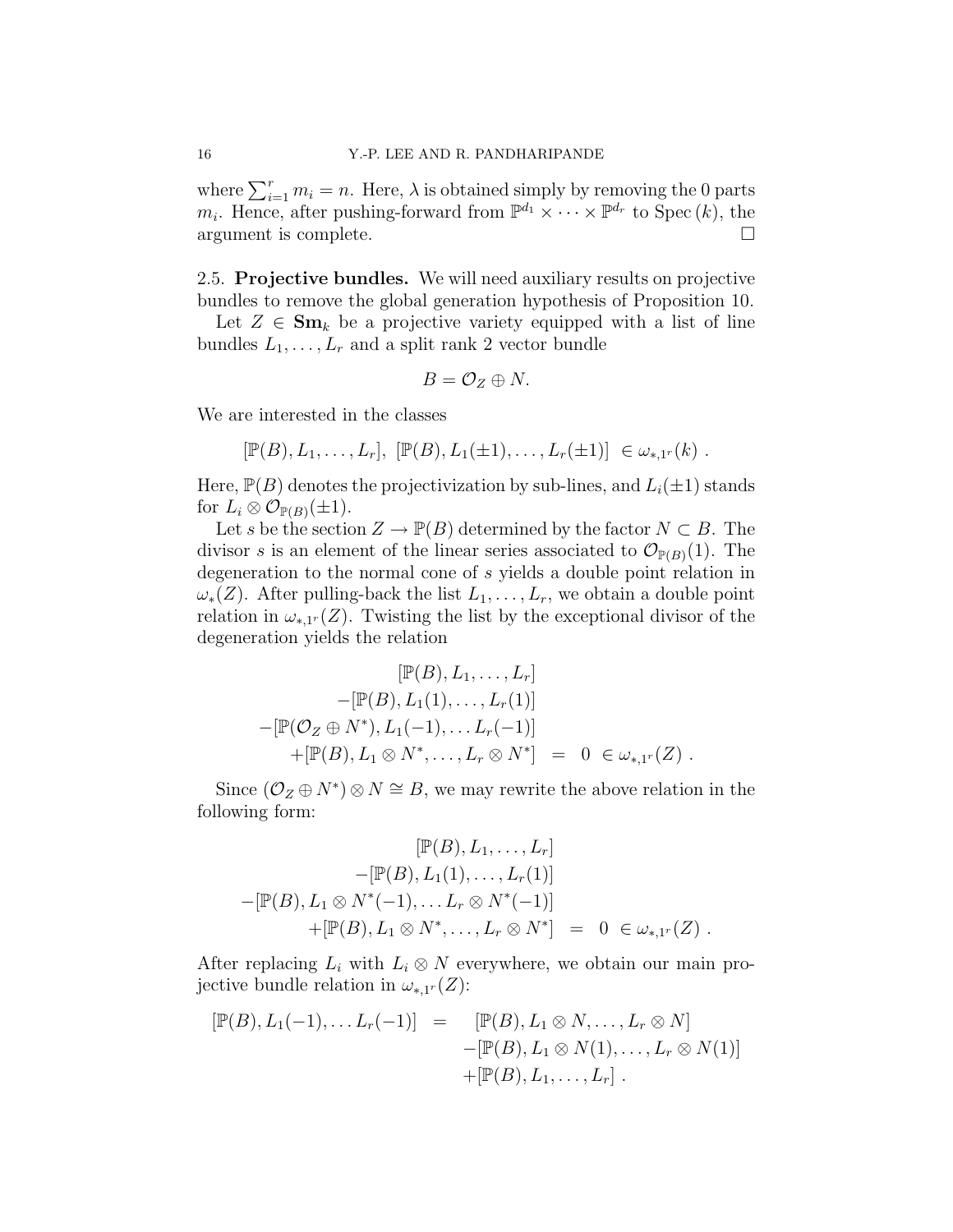where  $\sum_{i=1}^r m_i = n$ . Here,  $\lambda$  is obtained simply by removing the 0 parts  $m_i$ . Hence, after pushing-forward from  $\mathbb{P}^{d_1} \times \cdots \times \mathbb{P}^{d_r}$  to Spec  $(k)$ , the argument is complete.  $\Box$ 

2.5. Projective bundles. We will need auxiliary results on projective bundles to remove the global generation hypothesis of Proposition 10.

Let  $Z \in \mathbf{Sm}_k$  be a projective variety equipped with a list of line bundles  $L_1, \ldots, L_r$  and a split rank 2 vector bundle

$$
B=\mathcal{O}_Z\oplus N.
$$

We are interested in the classes

 $[\mathbb{P}(B), L_1, \ldots, L_r], [\mathbb{P}(B), L_1(\pm 1), \ldots, L_r(\pm 1)] \in \omega_{*,1^r}(k)$ .

Here,  $\mathbb{P}(B)$  denotes the projectivization by sub-lines, and  $L_i(\pm 1)$  stands for  $L_i \otimes \mathcal{O}_{\mathbb{P}(B)}(\pm 1)$ .

Let s be the section  $Z \to \mathbb{P}(B)$  determined by the factor  $N \subset B$ . The divisor s is an element of the linear series associated to  $\mathcal{O}_{\mathbb{P}(B)}(1)$ . The degeneration to the normal cone of s yields a double point relation in  $\omega_*(Z)$ . After pulling-back the list  $L_1,\ldots,L_r$ , we obtain a double point relation in  $\omega_{*,1}(Z)$ . Twisting the list by the exceptional divisor of the degeneration yields the relation

$$
[\mathbb{P}(B), L_1, \dots, L_r] - [\mathbb{P}(B), L_1(1), \dots, L_r(1)] - [\mathbb{P}(O_Z \oplus N^*), L_1(-1), \dots, L_r(-1)] + [\mathbb{P}(B), L_1 \otimes N^*, \dots, L_r \otimes N^*] = 0 \in \omega_{*,1^r}(Z).
$$

Since  $(\mathcal{O}_Z \oplus N^*) \otimes N \cong B$ , we may rewrite the above relation in the following form:

$$
[\mathbb{P}(B), L_1, \dots, L_r] - [\mathbb{P}(B), L_1(1), \dots, L_r(1)] - [\mathbb{P}(B), L_1 \otimes N^*(-1), \dots L_r \otimes N^*(-1)] + [\mathbb{P}(B), L_1 \otimes N^*, \dots, L_r \otimes N^*] = 0 \in \omega_{*,1^r}(Z).
$$

After replacing  $L_i$  with  $L_i \otimes N$  everywhere, we obtain our main projective bundle relation in  $\omega_{*,1^r}(Z)$ :

$$
[\mathbb{P}(B), L_1(-1), \dots L_r(-1)] = [\mathbb{P}(B), L_1 \otimes N, \dots, L_r \otimes N] -[\mathbb{P}(B), L_1 \otimes N(1), \dots, L_r \otimes N(1)] +[\mathbb{P}(B), L_1, \dots, L_r].
$$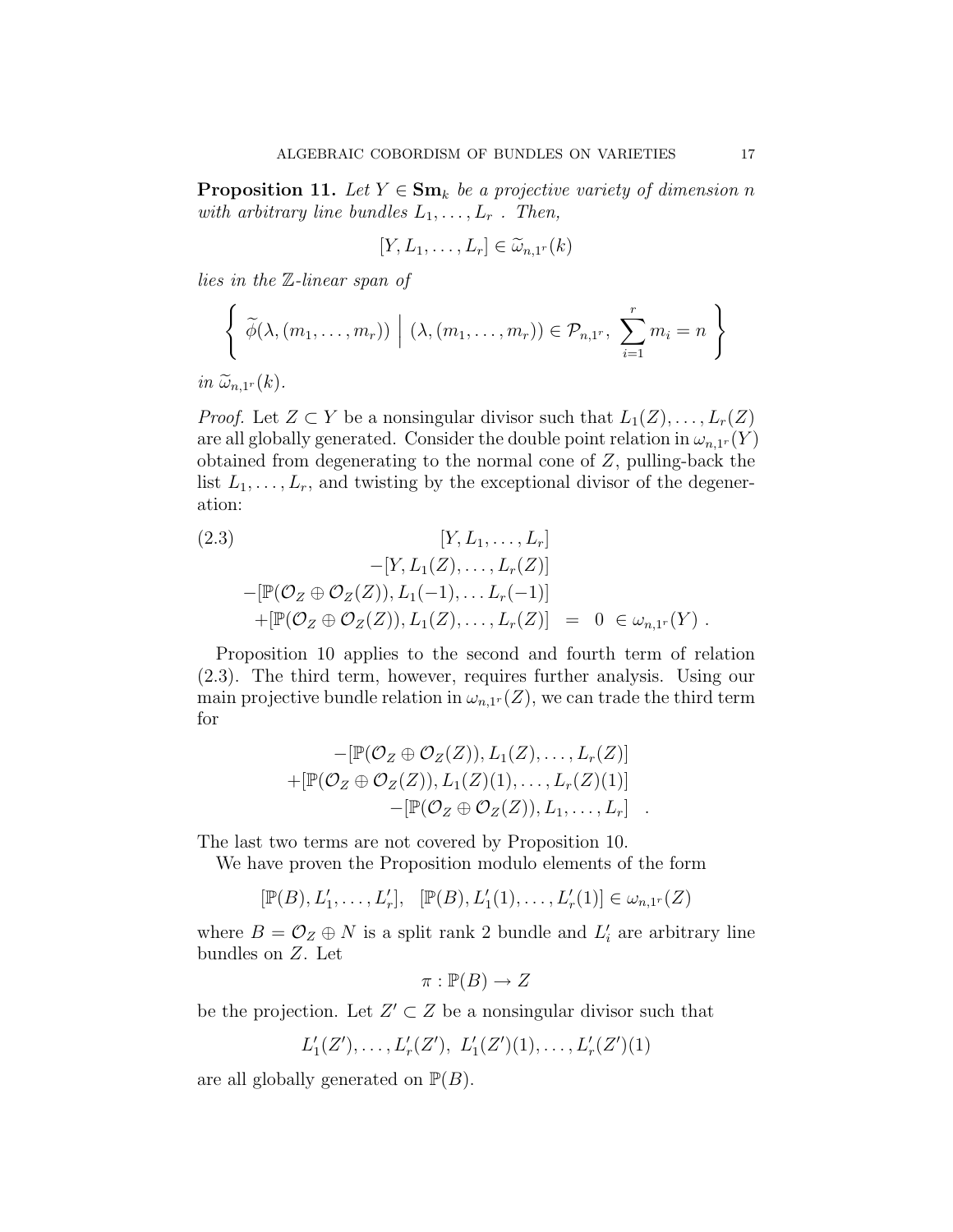**Proposition 11.** Let  $Y \in \mathbf{Sm}_k$  be a projective variety of dimension n with arbitrary line bundles  $L_1, \ldots, L_r$ . Then,

$$
[Y, L_1, \ldots, L_r] \in \widetilde{\omega}_{n,1^r}(k)
$$

lies in the Z-linear span of

$$
\left\{\n \widetilde{\phi}(\lambda, (m_1, \ldots, m_r)) \mid (\lambda, (m_1, \ldots, m_r)) \in \mathcal{P}_{n,1^r}, \sum_{i=1}^r m_i = n \right\}
$$
\n*in*  $\widetilde{\omega}_{n,1^r}(k)$ .

*Proof.* Let  $Z \subset Y$  be a nonsingular divisor such that  $L_1(Z), \ldots, L_r(Z)$ are all globally generated. Consider the double point relation in  $\omega_{n,1^r}(Y)$ obtained from degenerating to the normal cone of Z, pulling-back the list  $L_1, \ldots, L_r$ , and twisting by the exceptional divisor of the degeneration:

(2.3)  
\n
$$
[Y, L_1, ..., L_r]
$$
\n
$$
-[Y, L_1(Z), ..., L_r(Z)]
$$
\n
$$
-[\mathbb{P}(\mathcal{O}_Z \oplus \mathcal{O}_Z(Z)), L_1(-1), ..., L_r(-1)]
$$
\n
$$
+[\mathbb{P}(\mathcal{O}_Z \oplus \mathcal{O}_Z(Z)), L_1(Z), ..., L_r(Z)] = 0 \in \omega_{n,1^r}(Y).
$$

Proposition 10 applies to the second and fourth term of relation (2.3). The third term, however, requires further analysis. Using our main projective bundle relation in  $\omega_{n,1^r}(Z)$ , we can trade the third term for

$$
-[\mathbb{P}(\mathcal{O}_Z \oplus \mathcal{O}_Z(Z)), L_1(Z), \dots, L_r(Z)]
$$
  
+[\mathbb{P}(\mathcal{O}\_Z \oplus \mathcal{O}\_Z(Z)), L\_1(Z)(1), \dots, L\_r(Z)(1)]  
–[\mathbb{P}(\mathcal{O}\_Z \oplus \mathcal{O}\_Z(Z)), L\_1, \dots, L\_r].

The last two terms are not covered by Proposition 10.

We have proven the Proposition modulo elements of the form

$$
[\mathbb{P}(B), L'_1, \ldots, L'_r], \quad [\mathbb{P}(B), L'_1(1), \ldots, L'_r(1)] \in \omega_{n,1^r}(Z)
$$

where  $B = \mathcal{O}_Z \oplus N$  is a split rank 2 bundle and  $L'_i$  are arbitrary line bundles on Z. Let

$$
\pi : \mathbb{P}(B) \to Z
$$

be the projection. Let  $Z' \subset Z$  be a nonsingular divisor such that

$$
L'_1(Z'), \ldots, L'_r(Z'), L'_1(Z')(1), \ldots, L'_r(Z')(1)
$$

are all globally generated on  $\mathbb{P}(B)$ .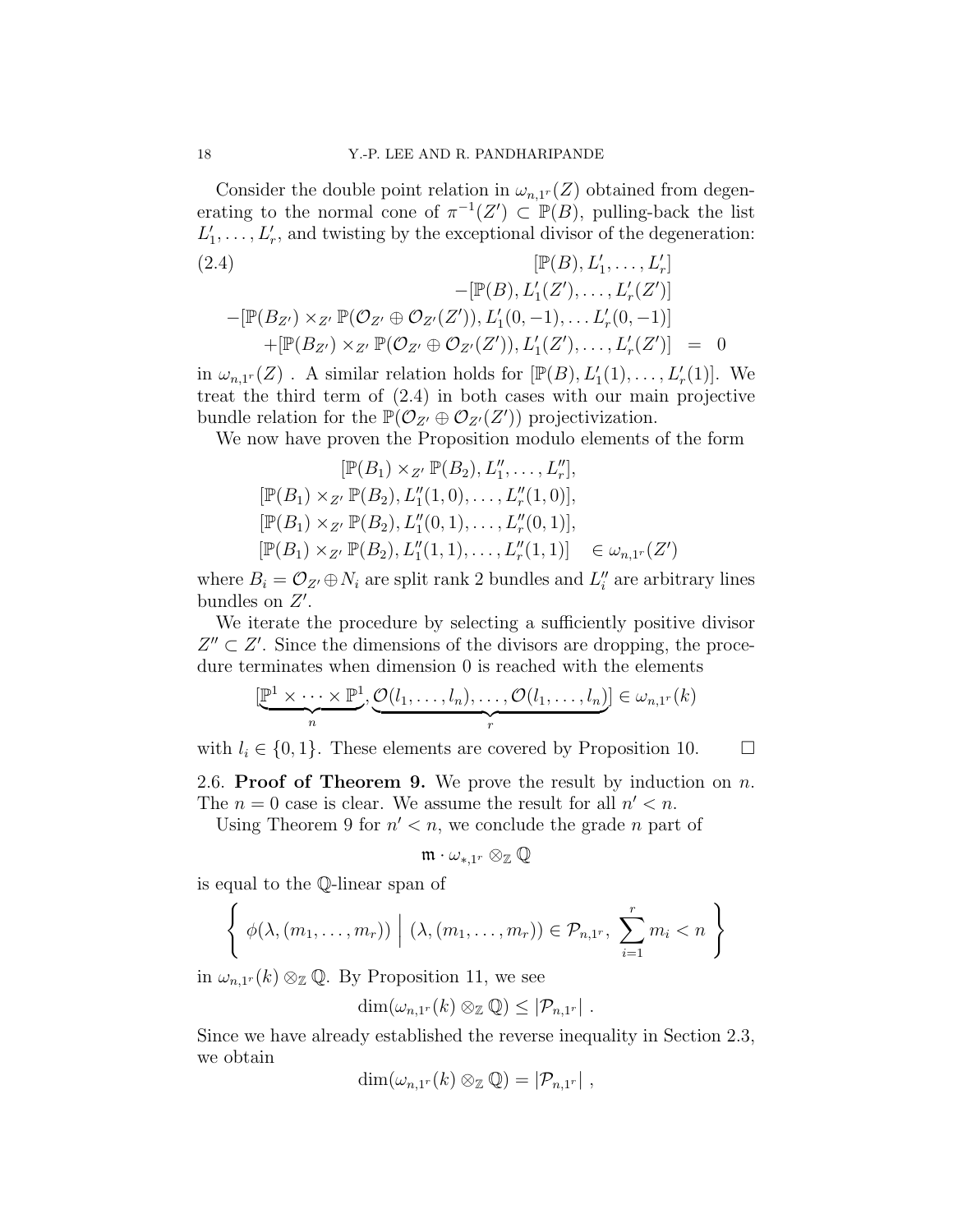Consider the double point relation in  $\omega_{n,1}(Z)$  obtained from degenerating to the normal cone of  $\pi^{-1}(Z') \subset \mathbb{P}(B)$ , pulling-back the list  $L'_1, \ldots, L'_r$ , and twisting by the exceptional divisor of the degeneration:

(2.4)  
\n
$$
[\mathbb{P}(B), L'_1, \dots, L'_r]
$$
\n
$$
-[\mathbb{P}(B), L'_1(Z'), \dots, L'_r(Z')]
$$
\n
$$
-[\mathbb{P}(B_{Z'}) \times_{Z'} \mathbb{P}(\mathcal{O}_{Z'} \oplus \mathcal{O}_{Z'}(Z')), L'_1(0, -1), \dots L'_r(0, -1)]
$$
\n
$$
+[\mathbb{P}(B_{Z'}) \times_{Z'} \mathbb{P}(\mathcal{O}_{Z'} \oplus \mathcal{O}_{Z'}(Z')), L'_1(Z'), \dots, L'_r(Z')] = 0
$$

in  $\omega_{n,1^r}(Z)$ . A similar relation holds for  $[\mathbb{P}(B), L'_1(1), \ldots, L'_r(1)]$ . We treat the third term of (2.4) in both cases with our main projective bundle relation for the  $\mathbb{P}(\mathcal{O}_{Z'} \oplus \mathcal{O}_{Z'}(Z'))$  projectivization.

We now have proven the Proposition modulo elements of the form

$$
[\mathbb{P}(B_1) \times_{Z'} \mathbb{P}(B_2), L_1'', \dots, L_r'],
$$
  
\n
$$
[\mathbb{P}(B_1) \times_{Z'} \mathbb{P}(B_2), L_1''(1,0), \dots, L_r''(1,0)],
$$
  
\n
$$
[\mathbb{P}(B_1) \times_{Z'} \mathbb{P}(B_2), L_1''(0,1), \dots, L_r''(0,1)],
$$
  
\n
$$
[\mathbb{P}(B_1) \times_{Z'} \mathbb{P}(B_2), L_1''(1,1), \dots, L_r''(1,1)] \in \omega_{n,1^r}(Z')
$$

where  $B_i = \mathcal{O}_{Z'} \oplus N_i$  are split rank 2 bundles and  $L''_i$  are arbitrary lines bundles on  $Z'$ .

We iterate the procedure by selecting a sufficiently positive divisor  $Z'' \subset Z'$ . Since the dimensions of the divisors are dropping, the procedure terminates when dimension 0 is reached with the elements

$$
[\underbrace{\mathbb{P}^1 \times \cdots \times \mathbb{P}^1}_{n}, \underbrace{\mathcal{O}(l_1, \ldots, l_n), \ldots, \mathcal{O}(l_1, \ldots, l_n)}_{r}] \in \omega_{n,1^r}(k)
$$

with  $l_i \in \{0, 1\}$ . These elements are covered by Proposition 10.  $\Box$ 

2.6. Proof of Theorem 9. We prove the result by induction on  $n$ . The  $n = 0$  case is clear. We assume the result for all  $n' < n$ .

Using Theorem 9 for  $n' < n$ , we conclude the grade *n* part of

$$
\mathfrak{m}\cdot \omega_{*,1^r}\otimes_{\mathbb{Z}}\mathbb{Q}
$$

is equal to the Q-linear span of

$$
\left\{\n\phi(\lambda,(m_1,\ldots,m_r))\mid (\lambda,(m_1,\ldots,m_r))\in\mathcal{P}_{n,1^r},\ \sum_{i=1}^r m_i < n\right\}
$$

in  $\omega_{n,1}(k) \otimes_{\mathbb{Z}} \mathbb{Q}$ . By Proposition 11, we see

$$
\dim(\omega_{n,1^r}(k)\otimes_{\mathbb{Z}}\mathbb{Q})\leq |\mathcal{P}_{n,1^r}|.
$$

Since we have already established the reverse inequality in Section 2.3, we obtain

$$
\dim(\omega_{n,1^r}(k)\otimes_{\mathbb{Z}}\mathbb{Q})=|\mathcal{P}_{n,1^r}|,
$$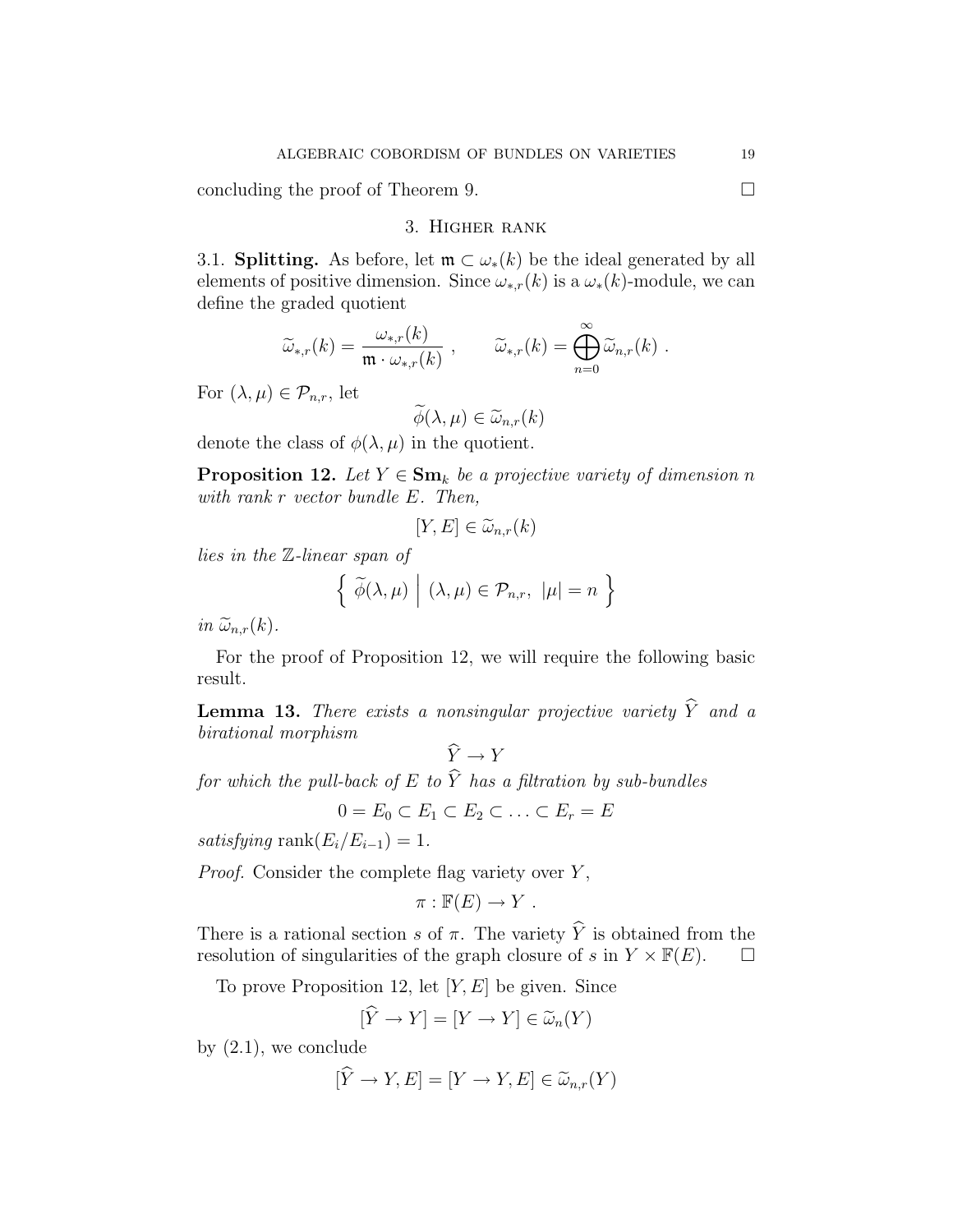concluding the proof of Theorem 9.  $\Box$ 

## 3. Higher rank

3.1. **Splitting.** As before, let  $\mathfrak{m} \subset \omega_*(k)$  be the ideal generated by all elements of positive dimension. Since  $\omega_{*,r}(k)$  is a  $\omega_*(k)$ -module, we can define the graded quotient

$$
\widetilde{\omega}_{*,r}(k) = \frac{\omega_{*,r}(k)}{\mathfrak{m} \cdot \omega_{*,r}(k)} , \qquad \widetilde{\omega}_{*,r}(k) = \bigoplus_{n=0}^{\infty} \widetilde{\omega}_{n,r}(k) .
$$

For  $(\lambda,\mu)\in\mathcal{P}_{n,r}$ , let

$$
\widetilde{\phi}(\lambda,\mu) \in \widetilde{\omega}_{n,r}(k)
$$

denote the class of  $\phi(\lambda,\mu)$  in the quotient.

**Proposition 12.** Let  $Y \in \mathbf{Sm}_k$  be a projective variety of dimension n with rank r vector bundle E. Then,

$$
[Y, E] \in \widetilde{\omega}_{n,r}(k)
$$

lies in the Z-linear span of

$$
\left\{\ \widetilde{\phi}(\lambda,\mu) \ \Big| \ (\lambda,\mu) \in \mathcal{P}_{n,r}, \ |\mu|=n \ \right\}
$$

in  $\widetilde{\omega}_{n,r}(k)$ .

For the proof of Proposition 12, we will require the following basic result.

**Lemma 13.** There exists a nonsingular projective variety  $\widehat{Y}$  and a birational morphism

 $\hat{Y} \rightarrow Y$ 

for which the pull-back of E to  $\hat{Y}$  has a filtration by sub-bundles

 $0 = E_0 \subset E_1 \subset E_2 \subset \ldots \subset E_r = E$ 

satisfying rank $(E_i/E_{i-1}) = 1$ .

*Proof.* Consider the complete flag variety over  $Y$ ,

$$
\pi : \mathbb{F}(E) \to Y .
$$

There is a rational section s of  $\pi$ . The variety  $\hat{Y}$  is obtained from the resolution of singularities of the graph closure of s in  $Y \times \mathbb{F}(E)$ . resolution of singularities of the graph closure of s in  $Y \times \mathbb{F}(E)$ .

To prove Proposition 12, let  $[Y, E]$  be given. Since

$$
[\hat{Y} \to Y] = [Y \to Y] \in \widetilde{\omega}_n(Y)
$$

by  $(2.1)$ , we conclude

$$
[\widehat{Y} \to Y, E] = [Y \to Y, E] \in \widetilde{\omega}_{n,r}(Y)
$$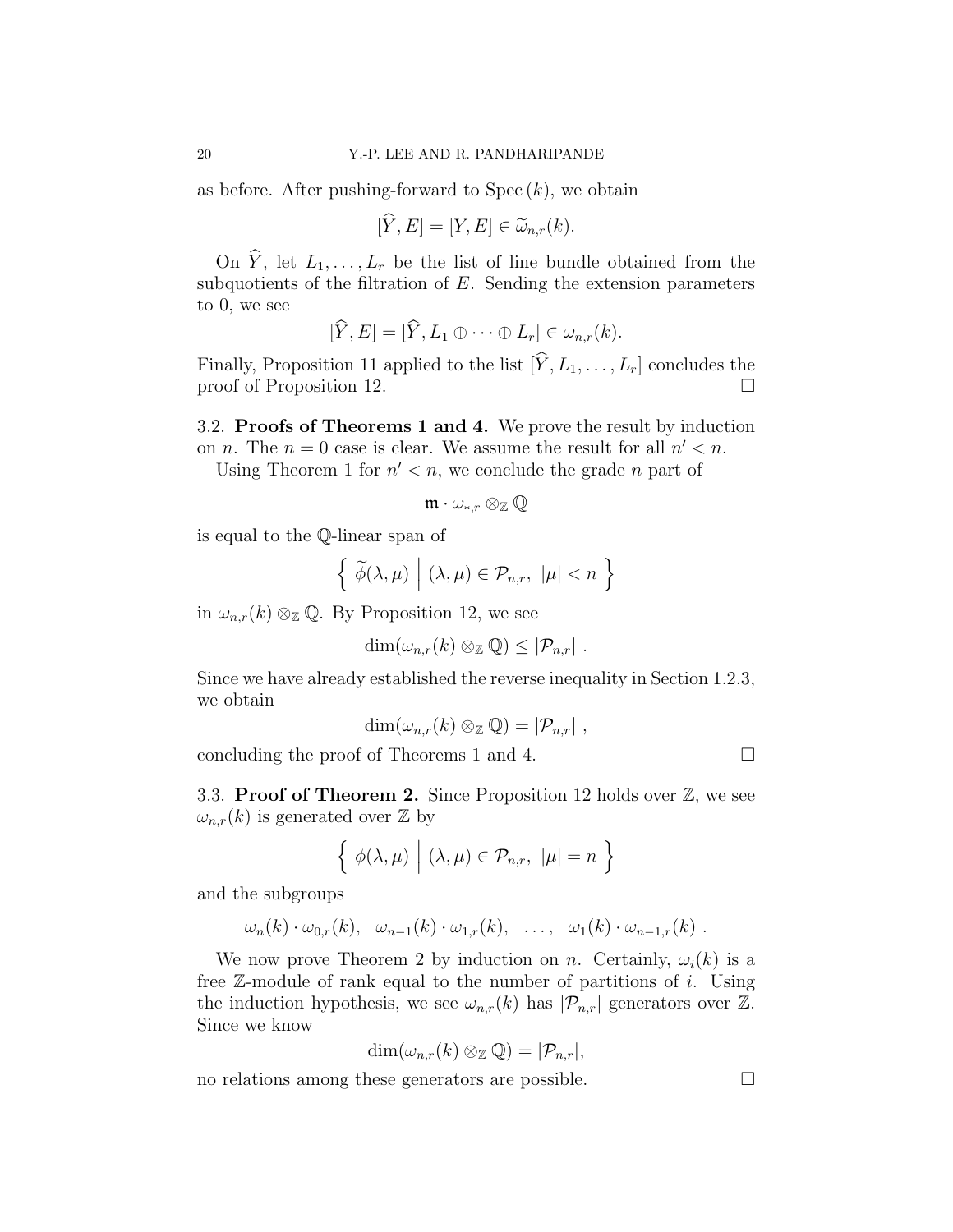as before. After pushing-forward to  $Spec (k)$ , we obtain

$$
[\hat{Y}, E] = [Y, E] \in \widetilde{\omega}_{n,r}(k).
$$

On  $\hat{Y}$ , let  $L_1,\ldots, L_r$  be the list of line bundle obtained from the subquotients of the filtration of  $E$ . Sending the extension parameters to 0, we see

$$
[\widehat{Y}, E] = [\widehat{Y}, L_1 \oplus \cdots \oplus L_r] \in \omega_{n,r}(k).
$$

Finally, Proposition 11 applied to the list  $[\hat{Y}, L_1, \ldots, L_r]$  concludes the proof of Proposition 12. proof of Proposition 12. ¤

3.2. Proofs of Theorems 1 and 4. We prove the result by induction on *n*. The  $n = 0$  case is clear. We assume the result for all  $n' < n$ .

Using Theorem 1 for  $n' < n$ , we conclude the grade *n* part of

$$
\mathfrak{m}\cdot \omega_{*,r}\otimes_{\mathbb{Z}}\mathbb{Q}
$$

is equal to the Q-linear span of

$$
\left\{\left|\widetilde{\phi}(\lambda,\mu)\right|(\lambda,\mu)\in\mathcal{P}_{n,r},\ |\mu|
$$

in  $\omega_{n,r}(k) \otimes_{\mathbb{Z}} \mathbb{Q}$ . By Proposition 12, we see

$$
\dim(\omega_{n,r}(k)\otimes_{\mathbb{Z}}\mathbb{Q})\leq |\mathcal{P}_{n,r}|.
$$

Since we have already established the reverse inequality in Section 1.2.3, we obtain

$$
\dim(\omega_{n,r}(k)\otimes_{\mathbb{Z}}\mathbb{Q})=|\mathcal{P}_{n,r}|,
$$

concluding the proof of Theorems 1 and 4.  $\Box$ 

3.3. Proof of Theorem 2. Since Proposition 12 holds over  $\mathbb{Z}$ , we see  $\omega_{n,r}(k)$  is generated over  $\mathbb Z$  by

$$
\left\{ \phi(\lambda,\mu) \mid (\lambda,\mu) \in \mathcal{P}_{n,r}, \ |\mu|=n \right\}
$$

and the subgroups

$$
\omega_n(k) \cdot \omega_{0,r}(k), \quad \omega_{n-1}(k) \cdot \omega_{1,r}(k), \quad \ldots, \quad \omega_1(k) \cdot \omega_{n-1,r}(k) \; .
$$

We now prove Theorem 2 by induction on n. Certainly,  $\omega_i(k)$  is a free  $\mathbb{Z}$ -module of rank equal to the number of partitions of i. Using the induction hypothesis, we see  $\omega_{n,r}(k)$  has  $|\mathcal{P}_{n,r}|$  generators over  $\mathbb{Z}$ . Since we know

$$
\dim(\omega_{n,r}(k)\otimes_{\mathbb{Z}}\mathbb{Q})=|\mathcal{P}_{n,r}|,
$$

no relations among these generators are possible.  $\Box$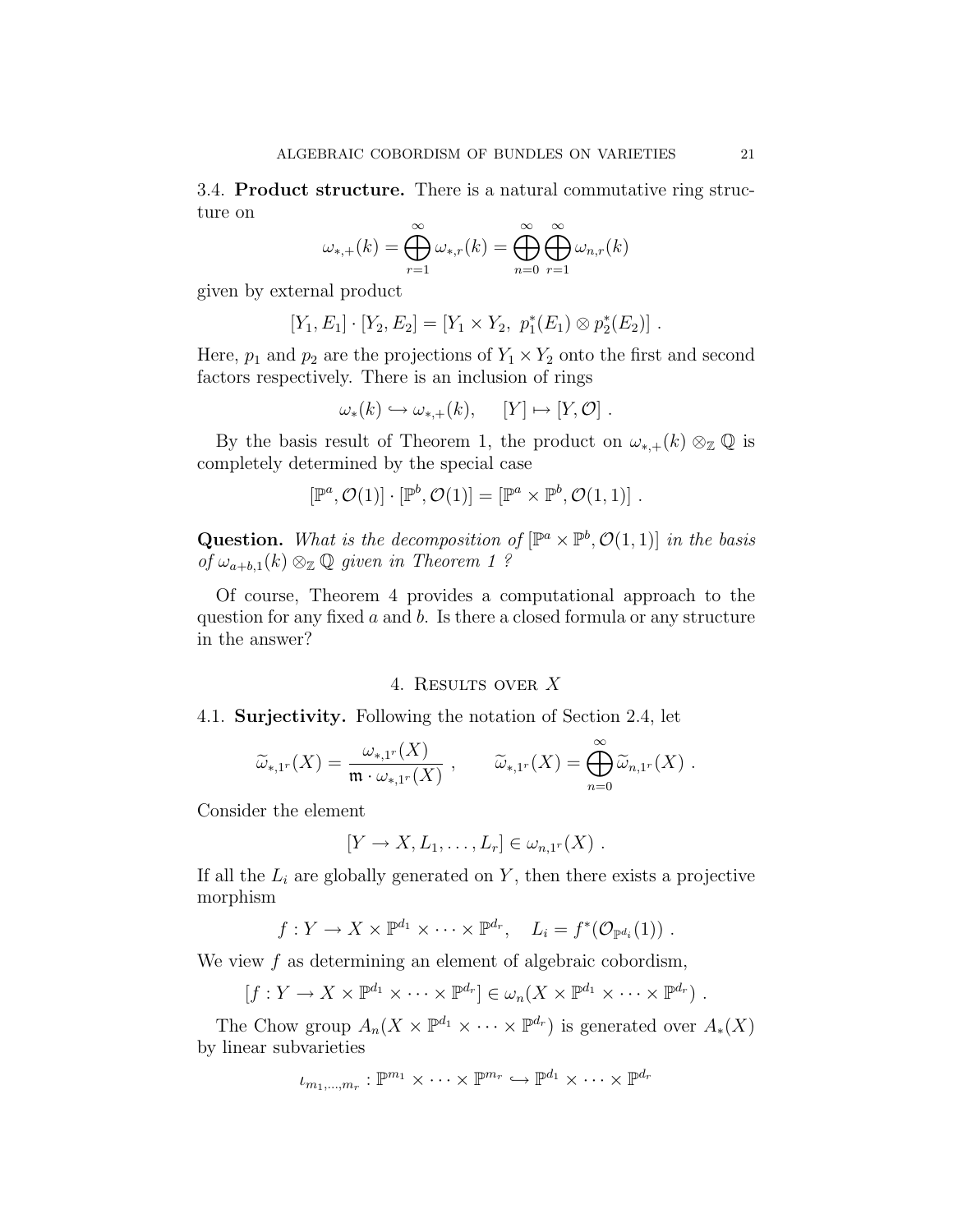3.4. Product structure. There is a natural commutative ring structure on

$$
\omega_{*,+}(k) = \bigoplus_{r=1}^{\infty} \omega_{*,r}(k) = \bigoplus_{n=0}^{\infty} \bigoplus_{r=1}^{\infty} \omega_{n,r}(k)
$$

given by external product

$$
[Y_1, E_1] \cdot [Y_2, E_2] = [Y_1 \times Y_2, p_1^*(E_1) \otimes p_2^*(E_2)].
$$

Here,  $p_1$  and  $p_2$  are the projections of  $Y_1 \times Y_2$  onto the first and second factors respectively. There is an inclusion of rings

$$
\omega_*(k) \hookrightarrow \omega_{*,+}(k), \quad [Y] \mapsto [Y, \mathcal{O}].
$$

By the basis result of Theorem 1, the product on  $\omega_{*,+}(k) \otimes_{\mathbb{Z}} \mathbb{Q}$  is completely determined by the special case

$$
[\mathbb{P}^a, \mathcal{O}(1)] \cdot [\mathbb{P}^b, \mathcal{O}(1)] = [\mathbb{P}^a \times \mathbb{P}^b, \mathcal{O}(1, 1)] .
$$

**Question.** What is the decomposition of  $[\mathbb{P}^a \times \mathbb{P}^b, \mathcal{O}(1,1)]$  in the basis of  $\omega_{a+b,1}(k) \otimes_{\mathbb{Z}} \mathbb{Q}$  given in Theorem 1?

Of course, Theorem 4 provides a computational approach to the question for any fixed  $a$  and  $b$ . Is there a closed formula or any structure in the answer?

### 4. Results over X

4.1. Surjectivity. Following the notation of Section 2.4, let

$$
\widetilde{\omega}_{*,1^r}(X) = \frac{\omega_{*,1^r}(X)}{\mathfrak{m} \cdot \omega_{*,1^r}(X)}, \qquad \widetilde{\omega}_{*,1^r}(X) = \bigoplus_{n=0}^{\infty} \widetilde{\omega}_{n,1^r}(X) .
$$

Consider the element

$$
[Y \to X, L_1, \ldots, L_r] \in \omega_{n,1^r}(X) .
$$

If all the  $L_i$  are globally generated on Y, then there exists a projective morphism

$$
f: Y \to X \times \mathbb{P}^{d_1} \times \cdots \times \mathbb{P}^{d_r}, \quad L_i = f^*(\mathcal{O}_{\mathbb{P}^{d_i}}(1))
$$
.

We view  $f$  as determining an element of algebraic cobordism,

 $[f: Y \to X \times \mathbb{P}^{d_1} \times \cdots \times \mathbb{P}^{d_r}] \in \omega_n(X \times \mathbb{P}^{d_1} \times \cdots \times \mathbb{P}^{d_r})$ .

The Chow group  $A_n(X \times \mathbb{P}^{d_1} \times \cdots \times \mathbb{P}^{d_r})$  is generated over  $A_*(X)$ by linear subvarieties

$$
\iota_{m_1,\ldots,m_r}:\mathbb{P}^{m_1}\times\cdots\times\mathbb{P}^{m_r}\hookrightarrow\mathbb{P}^{d_1}\times\cdots\times\mathbb{P}^{d_r}
$$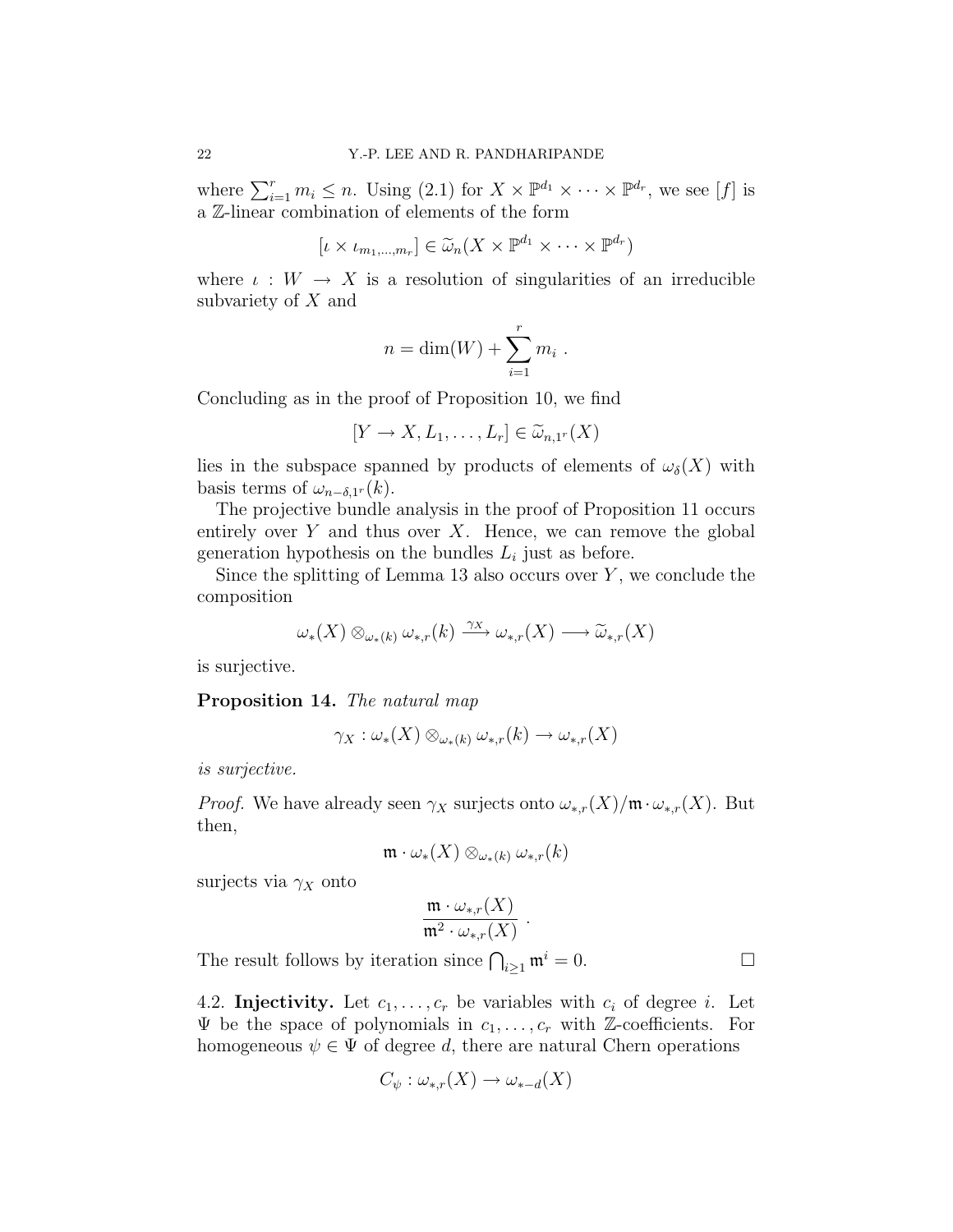where  $\sum_{i=1}^r m_i \leq n$ . Using (2.1) for  $X \times \mathbb{P}^{d_1} \times \cdots \times \mathbb{P}^{d_r}$ , we see [f] is a Z-linear combination of elements of the form

$$
[\iota \times \iota_{m_1,\dots,m_r}] \in \widetilde{\omega}_n(X \times \mathbb{P}^{d_1} \times \dots \times \mathbb{P}^{d_r})
$$

where  $\iota: W \to X$  is a resolution of singularities of an irreducible subvariety of X and

$$
n = \dim(W) + \sum_{i=1}^r m_i.
$$

Concluding as in the proof of Proposition 10, we find

$$
[Y \to X, L_1, \dots, L_r] \in \widetilde{\omega}_{n,1^r}(X)
$$

lies in the subspace spanned by products of elements of  $\omega_{\delta}(X)$  with basis terms of  $\omega_{n-\delta,1}(k)$ .

The projective bundle analysis in the proof of Proposition 11 occurs entirely over  $Y$  and thus over  $X$ . Hence, we can remove the global generation hypothesis on the bundles  $L_i$  just as before.

Since the splitting of Lemma 13 also occurs over  $Y$ , we conclude the composition

$$
\omega_{*}(X) \otimes_{\omega_{*}(k)} \omega_{*,r}(k) \xrightarrow{\gamma_{X}} \omega_{*,r}(X) \longrightarrow \widetilde{\omega}_{*,r}(X)
$$

is surjective.

Proposition 14. The natural map

$$
\gamma_X:\omega_*(X)\otimes_{\omega_*(k)}\omega_{*,r}(k)\to \omega_{*,r}(X)
$$

is surjective.

*Proof.* We have already seen  $\gamma_X$  surjects onto  $\omega_{*,r}(X)/\mathfrak{m} \cdot \omega_{*,r}(X)$ . But then,

$$
\mathfrak{m}\cdot\omega_*(X)\otimes_{\omega_*(k)}\omega_{*,r}(k)
$$

surjects via  $\gamma_X$  onto

$$
\frac{\mathfrak{m}\cdot \omega_{*,r}(X)}{\mathfrak{m}^2\cdot \omega_{*,r}(X)}
$$

.

The result follows by iteration since  $\bigcap_{i\geq 1} \mathfrak{m}^i = 0$ .

4.2. Injectivity. Let  $c_1, \ldots, c_r$  be variables with  $c_i$  of degree i. Let  $\Psi$  be the space of polynomials in  $c_1,\ldots,c_r$  with Z-coefficients. For homogeneous  $\psi \in \Psi$  of degree d, there are natural Chern operations

$$
C_{\psi}: \omega_{*,r}(X) \to \omega_{*-d}(X)
$$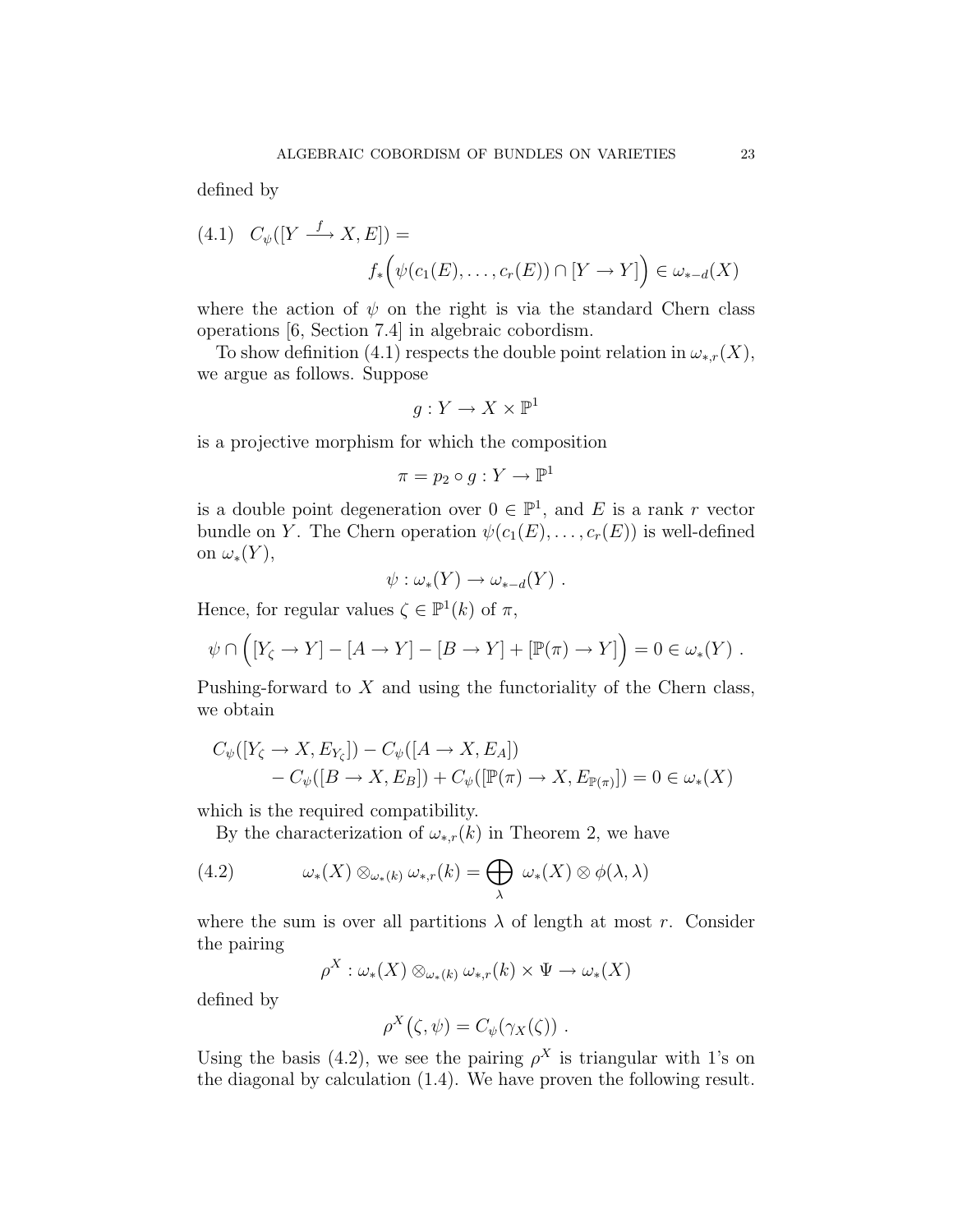defined by

$$
(4.1) \quad C_{\psi}([Y \xrightarrow{f} X, E]) =
$$

$$
f_*\left(\psi(c_1(E), \dots, c_r(E)) \cap [Y \to Y]\right) \in \omega_{*-d}(X)
$$

where the action of  $\psi$  on the right is via the standard Chern class operations [6, Section 7.4] in algebraic cobordism.

To show definition (4.1) respects the double point relation in  $\omega_{*,r}(X)$ , we argue as follows. Suppose

$$
g: Y \to X \times \mathbb{P}^1
$$

is a projective morphism for which the composition

$$
\pi = p_2 \circ g : Y \to \mathbb{P}^1
$$

is a double point degeneration over  $0 \in \mathbb{P}^1$ , and E is a rank r vector bundle on Y. The Chern operation  $\psi(c_1(E), \ldots, c_r(E))$  is well-defined on  $\omega_*(Y)$ ,

$$
\psi : \omega_*(Y) \to \omega_{*-d}(Y) .
$$

Hence, for regular values  $\zeta \in \mathbb{P}^1(k)$  of  $\pi$ ,

$$
\psi \cap \left( [Y_{\zeta} \to Y] - [A \to Y] - [B \to Y] + [\mathbb{P}(\pi) \to Y] \right) = 0 \in \omega_*(Y) .
$$

Pushing-forward to  $X$  and using the functoriality of the Chern class, we obtain

$$
C_{\psi}([Y_{\zeta} \to X, E_{Y_{\zeta}}]) - C_{\psi}([A \to X, E_A])
$$
  
-  $C_{\psi}([B \to X, E_B]) + C_{\psi}([\mathbb{P}(\pi) \to X, E_{\mathbb{P}(\pi)}]) = 0 \in \omega_*(X)$ 

which is the required compatibility.

By the characterization of  $\omega_{*,r}(k)$  in Theorem 2, we have

(4.2) 
$$
\omega_*(X) \otimes_{\omega_*(k)} \omega_{*,r}(k) = \bigoplus_{\lambda} \omega_*(X) \otimes \phi(\lambda, \lambda)
$$

where the sum is over all partitions  $\lambda$  of length at most r. Consider the pairing

$$
\rho^X:\omega_*(X)\otimes_{\omega_*(k)}\omega_{*,r}(k)\times\Psi\to\omega_*(X)
$$

defined by

$$
\rho^X(\zeta,\psi) = C_{\psi}(\gamma_X(\zeta)) \ .
$$

Using the basis (4.2), we see the pairing  $\rho^X$  is triangular with 1's on the diagonal by calculation (1.4). We have proven the following result.